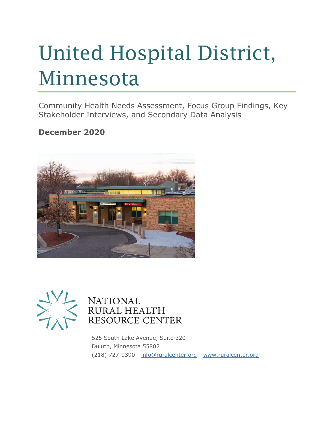# United Hospital District, Minnesota

Community Health Needs Assessment, Focus Group Findings, Key Stakeholder Interviews, and Secondary Data Analysis

#### **December 2020**





#### **NATIONAL** RURAL HEALTH **RESOURCE CENTER**

525 South Lake Avenue, Suite 320 Duluth, Minnesota 55802 (218) 727-9390 | [info@ruralcenter.org](mailto:info@ruralcenter.org) | [www.ruralcenter.org](http://www.ruralcenter.org/)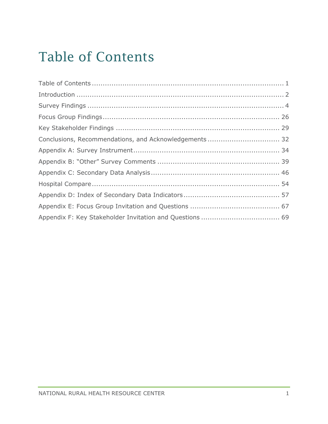# <span id="page-1-0"></span>Table of Contents

| Conclusions, Recommendations, and Acknowledgements  32 |  |
|--------------------------------------------------------|--|
|                                                        |  |
|                                                        |  |
|                                                        |  |
|                                                        |  |
|                                                        |  |
|                                                        |  |
|                                                        |  |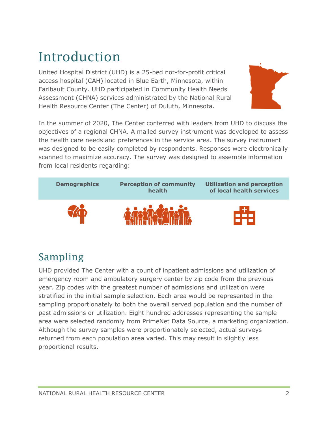# <span id="page-2-0"></span>Introduction

United Hospital District (UHD) is a 25-bed not-for-profit critical access hospital (CAH) located in Blue Earth, Minnesota, within Faribault County. UHD participated in Community Health Needs Assessment (CHNA) services administrated by the National Rural Health Resource Center (The Center) of Duluth, Minnesota.



In the summer of 2020, The Center conferred with leaders from UHD to discuss the objectives of a regional CHNA. A mailed survey instrument was developed to assess the health care needs and preferences in the service area. The survey instrument was designed to be easily completed by respondents. Responses were electronically scanned to maximize accuracy. The survey was designed to assemble information from local residents regarding:



### Sampling

UHD provided The Center with a count of inpatient admissions and utilization of emergency room and ambulatory surgery center by zip code from the previous year. Zip codes with the greatest number of admissions and utilization were stratified in the initial sample selection. Each area would be represented in the sampling proportionately to both the overall served population and the number of past admissions or utilization. Eight hundred addresses representing the sample area were selected randomly from PrimeNet Data Source, a marketing organization. Although the survey samples were proportionately selected, actual surveys returned from each population area varied. This may result in slightly less proportional results.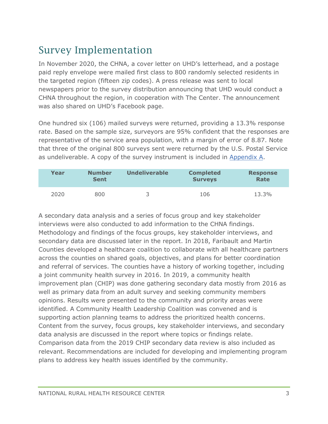### Survey Implementation

In November 2020, the CHNA, a cover letter on UHD's letterhead, and a postage paid reply envelope were mailed first class to 800 randomly selected residents in the targeted region (fifteen zip codes). A press release was sent to local newspapers prior to the survey distribution announcing that UHD would conduct a CHNA throughout the region, in cooperation with The Center. The announcement was also shared on UHD's Facebook page.

One hundred six (106) mailed surveys were returned, providing a 13.3% response rate. Based on the sample size, surveyors are 95% confident that the responses are representative of the service area population, with a margin of error of 8.87. Note that three of the original 800 surveys sent were returned by the U.S. Postal Service as undeliverable. A copy of the survey instrument is included in [Appendix A.](#page-34-0)

| Year | <b>Number</b><br><b>Sent</b> | <b>Undeliverable</b> | <b>Completed</b><br><b>Surveys</b> | <b>Response</b><br>Rate |
|------|------------------------------|----------------------|------------------------------------|-------------------------|
| 2020 | 800                          |                      | 106                                | 13.3%                   |

A secondary data analysis and a series of focus group and key stakeholder interviews were also conducted to add information to the CHNA findings. Methodology and findings of the focus groups, key stakeholder interviews, and secondary data are discussed later in the report. In 2018, Faribault and Martin Counties developed a healthcare coalition to collaborate with all healthcare partners across the counties on shared goals, objectives, and plans for better coordination and referral of services. The counties have a history of working together, including a joint community health survey in 2016. In 2019, a community health improvement plan (CHIP) was done gathering secondary data mostly from 2016 as well as primary data from an adult survey and seeking community members opinions. Results were presented to the community and priority areas were identified. A Community Health Leadership Coalition was convened and is supporting action planning teams to address the prioritized health concerns. Content from the survey, focus groups, key stakeholder interviews, and secondary data analysis are discussed in the report where topics or findings relate. Comparison data from the 2019 CHIP secondary data review is also included as relevant. Recommendations are included for developing and implementing program plans to address key health issues identified by the community.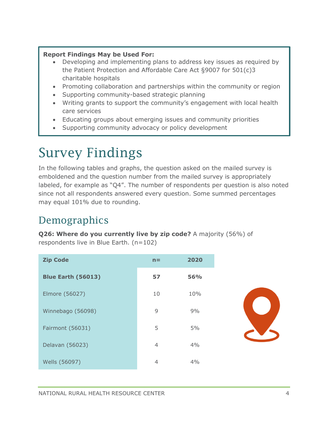#### **Report Findings May be Used For:**

- Developing and implementing plans to address key issues as required by the Patient Protection and Affordable Care Act §9007 for 501(c)3 charitable hospitals
- Promoting collaboration and partnerships within the community or region
- Supporting community-based strategic planning
- Writing grants to support the community's engagement with local health care services
- Educating groups about emerging issues and community priorities
- Supporting community advocacy or policy development

## <span id="page-4-0"></span>Survey Findings

In the following tables and graphs, the question asked on the mailed survey is emboldened and the question number from the mailed survey is appropriately labeled, for example as "Q4". The number of respondents per question is also noted since not all respondents answered every question. Some summed percentages may equal 101% due to rounding.

### Demographics

**Q26: Where do you currently live by zip code?** A majority (56%) of respondents live in Blue Earth. (n=102)

| <b>Zip Code</b>           | $n =$ | 2020       |
|---------------------------|-------|------------|
| <b>Blue Earth (56013)</b> | 57    | <b>56%</b> |
| Elmore (56027)            | 10    | 10%        |
| Winnebago (56098)         | 9     | 9%         |
| Fairmont (56031)          | 5     | 5%         |
| Delavan (56023)           | 4     | 4%         |
| Wells (56097)             | 4     | 4%         |

R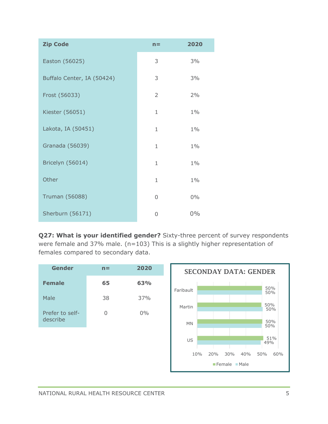| <b>Zip Code</b>            | $n =$          | 2020  |
|----------------------------|----------------|-------|
| Easton (56025)             | 3              | 3%    |
| Buffalo Center, IA (50424) | 3              | 3%    |
| Frost (56033)              | $\overline{2}$ | 2%    |
| Kiester (56051)            | $\mathbf{1}$   | $1\%$ |
| Lakota, IA (50451)         | $\mathbf{1}$   | $1\%$ |
| Granada (56039)            | $\mathbf{1}$   | $1\%$ |
| Bricelyn (56014)           | $\mathbf{1}$   | $1\%$ |
| Other                      | 1              | $1\%$ |
| <b>Truman (56088)</b>      | 0              | $0\%$ |
| Sherburn (56171)           | 0              | 0%    |

**Q27: What is your identified gender?** Sixty-three percent of survey respondents were female and 37% male. (n=103) This is a slightly higher representation of females compared to secondary data.

| <b>Gender</b>               | $n =$ | 2020  |
|-----------------------------|-------|-------|
| <b>Female</b>               | 65    | 63%   |
| Male                        | 38    | 37%   |
| Prefer to self-<br>describe | 0     | $0\%$ |
|                             |       |       |
|                             |       |       |

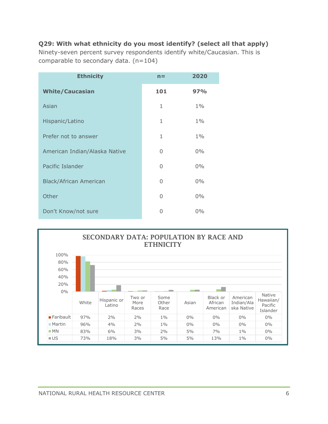#### **Q29: With what ethnicity do you most identify? (select all that apply)**

Ninety-seven percent survey respondents identify white/Caucasian. This is comparable to secondary data. (n=104)

| <b>Ethnicity</b>              | $n =$        | 2020  |
|-------------------------------|--------------|-------|
| <b>White/Caucasian</b>        | 101          | 97%   |
| Asian                         | $\mathbf{1}$ | $1\%$ |
| Hispanic/Latino               | $\mathbf{1}$ | $1\%$ |
| Prefer not to answer          | $\mathbf{1}$ | $1\%$ |
| American Indian/Alaska Native | 0            | $0\%$ |
| Pacific Islander              | 0            | $0\%$ |
| <b>Black/African American</b> | 0            | $0\%$ |
| Other                         | 0            | $0\%$ |
| Don't Know/not sure           | 0            | $0\%$ |

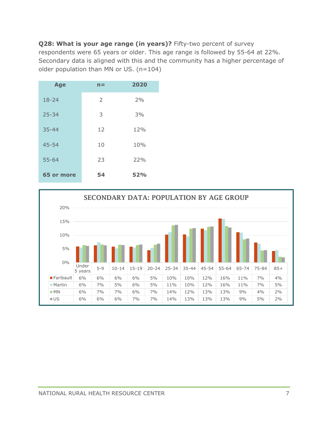**Q28: What is your age range (in years)?** Fifty-two percent of survey respondents were 65 years or older. This age range is followed by 55-64 at 22%. Secondary data is aligned with this and the community has a higher percentage of older population than MN or US. (n=104)

| <b>Age</b> | n= | 2020 |
|------------|----|------|
| $18 - 24$  | 2  | 2%   |
| $25 - 34$  | 3  | 3%   |
| $35 - 44$  | 12 | 12%  |
| $45 - 54$  | 10 | 10%  |
| $55 - 64$  | 23 | 22%  |
| 65 or more | 54 | 52%  |

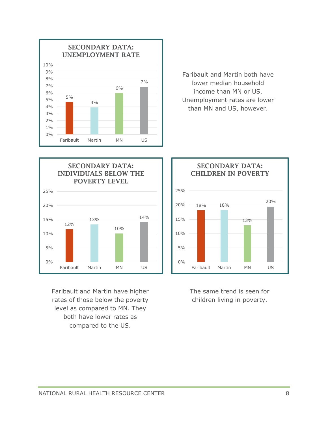

Faribault and Martin both have lower median household income than MN or US. Unemployment rates are lower than MN and US, however.



Faribault and Martin have higher rates of those below the poverty level as compared to MN. They both have lower rates as compared to the US.



The same trend is seen for children living in poverty.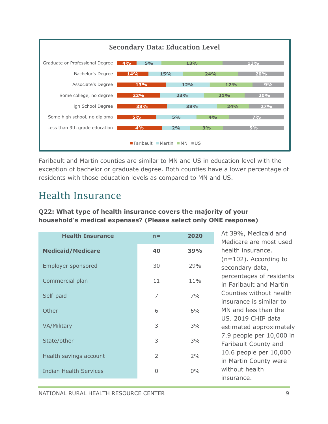

Faribault and Martin counties are similar to MN and US in education level with the exception of bachelor or graduate degree. Both counties have a lower percentage of residents with those education levels as compared to MN and US.

### Health Insurance

#### **Q22: What type of health insurance covers the majority of your household's medical expenses? (Please select only ONE response)**

| <b>Health Insurance</b>       | $n =$          | 2020  | At 39%, Medicaid and<br>Medicare are most used        |
|-------------------------------|----------------|-------|-------------------------------------------------------|
| <b>Medicaid/Medicare</b>      | 40             | 39%   | health insurance.                                     |
| <b>Employer sponsored</b>     | 30             | 29%   | $(n=102)$ . According to<br>secondary data,           |
| Commercial plan               | 11             | 11%   | percentages of residents<br>in Faribault and Martin   |
| Self-paid                     | 7              | 7%    | Counties without health<br>insurance is similar to    |
| Other                         | 6              | 6%    | MN and less than the                                  |
| <b>VA/Military</b>            | 3              | 3%    | US. 2019 CHIP data<br>estimated approximately         |
| State/other                   | 3              | 3%    | 7.9 people per 10,000 in<br>Faribault County and      |
| Health savings account        | $\overline{2}$ | 2%    | 10.6 people per 10,000                                |
| <b>Indian Health Services</b> | 0              | $0\%$ | in Martin County were<br>without health<br>insurance. |
|                               |                |       |                                                       |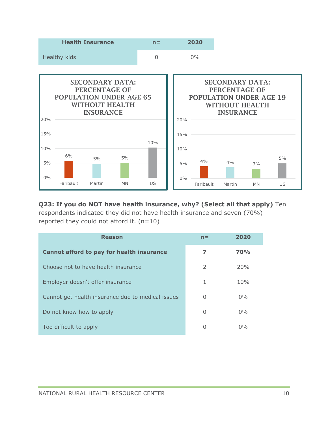

#### **Q23: If you do NOT have health insurance, why? (Select all that apply)** Ten

respondents indicated they did not have health insurance and seven (70%) reported they could not afford it.  $(n=10)$ 

| <b>Reason</b>                                     | $n =$ | 2020       |
|---------------------------------------------------|-------|------------|
| Cannot afford to pay for health insurance         | 7     | <b>70%</b> |
| Choose not to have health insurance               | 2     | 20%        |
| Employer doesn't offer insurance                  | 1     | 10%        |
| Cannot get health insurance due to medical issues | O     | $0\%$      |
| Do not know how to apply                          | O     | $0\%$      |
| Too difficult to apply                            | O     | $0\%$      |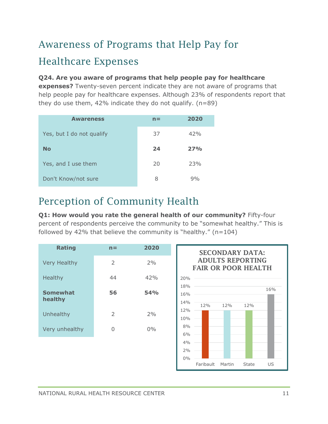# Awareness of Programs that Help Pay for Healthcare Expenses

#### **Q24. Are you aware of programs that help people pay for healthcare**

**expenses?** Twenty-seven percent indicate they are not aware of programs that help people pay for healthcare expenses. Although 23% of respondents report that they do use them,  $42\%$  indicate they do not qualify.  $(n=89)$ 

| <b>Awareness</b>          | $n =$ | 2020 |
|---------------------------|-------|------|
| Yes, but I do not qualify | 37    | 42%  |
| <b>No</b>                 | 24    | 27%  |
| Yes, and I use them       | 20    | 23%  |
| Don't Know/not sure       | 8     | 9%   |

### Perception of Community Health

**Q1: How would you rate the general health of our community?** Fifty-four percent of respondents perceive the community to be "somewhat healthy." This is followed by 42% that believe the community is "healthy."  $(n=104)$ 



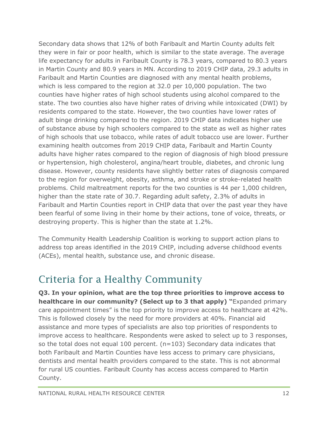Secondary data shows that 12% of both Faribault and Martin County adults felt they were in fair or poor health, which is similar to the state average. The average life expectancy for adults in Faribault County is 78.3 years, compared to 80.3 years in Martin County and 80.9 years in MN. According to 2019 CHIP data, 29.3 adults in Faribault and Martin Counties are diagnosed with any mental health problems, which is less compared to the region at 32.0 per 10,000 population. The two counties have higher rates of high school students using alcohol compared to the state. The two counties also have higher rates of driving while intoxicated (DWI) by residents compared to the state. However, the two counties have lower rates of adult binge drinking compared to the region. 2019 CHIP data indicates higher use of substance abuse by high schoolers compared to the state as well as higher rates of high schools that use tobacco, while rates of adult tobacco use are lower. Further examining health outcomes from 2019 CHIP data, Faribault and Martin County adults have higher rates compared to the region of diagnosis of high blood pressure or hypertension, high cholesterol, angina/heart trouble, diabetes, and chronic lung disease. However, county residents have slightly better rates of diagnosis compared to the region for overweight, obesity, asthma, and stroke or stroke-related health problems. Child maltreatment reports for the two counties is 44 per 1,000 children, higher than the state rate of 30.7. Regarding adult safety, 2.3% of adults in Faribault and Martin Counties report in CHIP data that over the past year they have been fearful of some living in their home by their actions, tone of voice, threats, or destroying property. This is higher than the state at 1.2%.

The Community Health Leadership Coalition is working to support action plans to address top areas identified in the 2019 CHIP, including adverse childhood events (ACEs), mental health, substance use, and chronic disease.

### Criteria for a Healthy Community

**Q3. In your opinion, what are the top three priorities to improve access to healthcare in our community? (Select up to 3 that apply) "**Expanded primary care appointment times" is the top priority to improve access to healthcare at 42%. This is followed closely by the need for more providers at 40%. Financial aid assistance and more types of specialists are also top priorities of respondents to improve access to healthcare. Respondents were asked to select up to 3 responses, so the total does not equal 100 percent.  $(n=103)$  Secondary data indicates that both Faribault and Martin Counties have less access to primary care physicians, dentists and mental health providers compared to the state. This is not abnormal for rural US counties. Faribault County has access access compared to Martin County.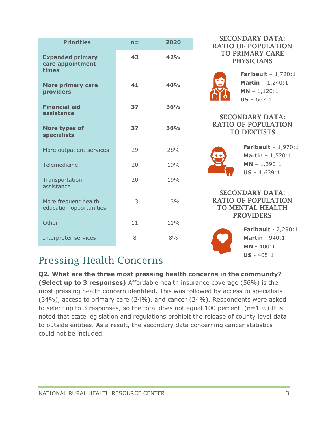| <b>Priorities</b>                                    | $n =$ | 2020 |
|------------------------------------------------------|-------|------|
| <b>Expanded primary</b><br>care appointment<br>times | 43    | 42%  |
| <b>More primary care</b><br>providers                | 41    | 40%  |
| <b>Financial aid</b><br>assistance                   | 37    | 36%  |
| More types of<br><b>specialists</b>                  | 37    | 36%  |
| More outpatient services                             | 29    | 28%  |
| Telemedicine                                         | 20    | 19%  |
| Transportation<br>assistance                         | 20    | 19%  |
| More frequent health<br>education opportunities      | 13    | 13%  |
| Other                                                | 11    | 11%  |
| Interpreter services                                 | 8     | 8%   |

#### SECONDARY DATA: RATIO OF POPULATION TO PRIMARY CARE **PHYSICIANS**



**Faribault** – 1,720:1 **Martin** – 1,240:1 **MN** – 1,120:1 **US** – 667:1

#### SECONDARY DATA: RATIO OF POPULATION TO DENTISTS



**Faribault** – 1,970:1 **Martin** – 1,520:1 **MN** – 1,390:1 **US** – 1,639:1

#### SECONDARY DATA: RATIO OF POPULATION TO MENTAL HEALTH **PROVIDERS**



**Faribault** - 2,290:1 **Martin** - 940:1 **MN** - 400:1 **US** - 405:1

### Pressing Health Concerns

**Q2. What are the three most pressing health concerns in the community? (Select up to 3 responses)** Affordable health insurance coverage (56%) is the most pressing health concern identified. This was followed by access to specialists (34%), access to primary care (24%), and cancer (24%). Respondents were asked to select up to 3 responses, so the total does not equal 100 percent. ( $n=105$ ) It is noted that state legislation and regulations prohibit the release of county level data to outside entities. As a result, the secondary data concerning cancer statistics could not be included.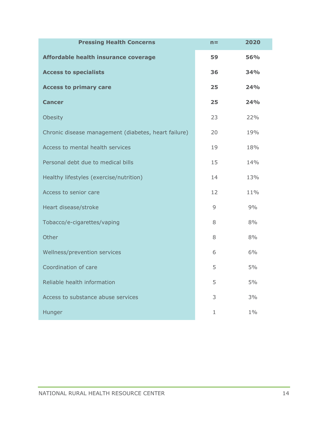| <b>Pressing Health Concerns</b>                      | $n =$       | 2020  |
|------------------------------------------------------|-------------|-------|
| Affordable health insurance coverage                 | 59          | 56%   |
| <b>Access to specialists</b>                         | 36          | 34%   |
| <b>Access to primary care</b>                        | 25          | 24%   |
| <b>Cancer</b>                                        | 25          | 24%   |
| Obesity                                              | 23          | 22%   |
| Chronic disease management (diabetes, heart failure) | 20          | 19%   |
| Access to mental health services                     | 19          | 18%   |
| Personal debt due to medical bills                   | 15          | 14%   |
| Healthy lifestyles (exercise/nutrition)              | 14          | 13%   |
| Access to senior care                                | 12          | 11%   |
| Heart disease/stroke                                 | 9           | 9%    |
| Tobacco/e-cigarettes/vaping                          | 8           | 8%    |
| Other                                                | 8           | 8%    |
| Wellness/prevention services                         | 6           | 6%    |
| Coordination of care                                 | 5           | 5%    |
| Reliable health information                          | 5           | 5%    |
| Access to substance abuse services                   | 3           | 3%    |
| Hunger                                               | $\mathbf 1$ | $1\%$ |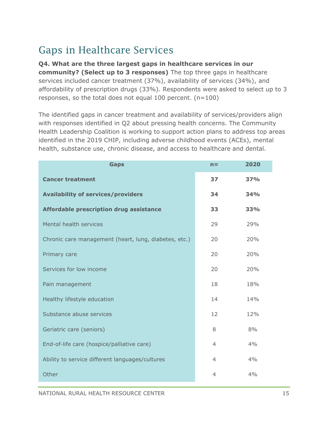### Gaps in Healthcare Services

#### **Q4. What are the three largest gaps in healthcare services in our**

**community? (Select up to 3 responses)** The top three gaps in healthcare services included cancer treatment (37%), availability of services (34%), and affordability of prescription drugs (33%). Respondents were asked to select up to 3 responses, so the total does not equal 100 percent. (n=100)

The identified gaps in cancer treatment and availability of services/providers align with responses identified in Q2 about pressing health concerns. The Community Health Leadership Coalition is working to support action plans to address top areas identified in the 2019 CHIP, including adverse childhood events (ACEs), mental health, substance use, chronic disease, and access to healthcare and dental.

| <b>Gaps</b>                                           | $n =$          | 2020       |
|-------------------------------------------------------|----------------|------------|
| <b>Cancer treatment</b>                               | 37             | <b>37%</b> |
| <b>Availability of services/providers</b>             | 34             | <b>34%</b> |
| Affordable prescription drug assistance               | 33             | 33%        |
| Mental health services                                | 29             | 29%        |
| Chronic care management (heart, lung, diabetes, etc.) | 20             | 20%        |
| Primary care                                          | 20             | 20%        |
| Services for low income                               | 20             | 20%        |
| Pain management                                       | 18             | 18%        |
| Healthy lifestyle education                           | 14             | 14%        |
| Substance abuse services                              | 12             | 12%        |
| Geriatric care (seniors)                              | 8              | 8%         |
| End-of-life care (hospice/palliative care)            | 4              | 4%         |
| Ability to service different languages/cultures       | 4              | 4%         |
| Other                                                 | $\overline{4}$ | 4%         |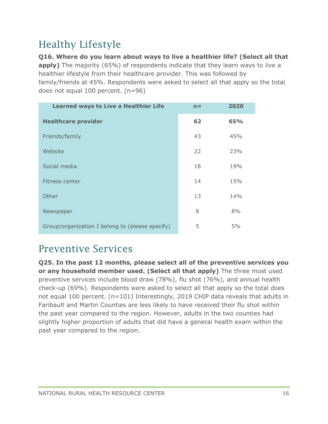### Healthy Lifestyle

**Q16. Where do you learn about ways to live a healthier life? (Select all that apply)** The majority (65%) of respondents indicate that they learn ways to live a healthier lifestyle from their healthcare provider. This was followed by family/friends at 45%. Respondents were asked to select all that apply so the total does not equal 100 percent. (n=96)

| <b>Learned ways to Live a Healthier Life</b>    | $n =$ | 2020 |
|-------------------------------------------------|-------|------|
| <b>Healthcare provider</b>                      | 62    | 65%  |
| Friends/family                                  | 43    | 45%  |
| Website                                         | 22    | 23%  |
| Social media                                    | 18    | 19%  |
| Fitness center                                  | 14    | 15%  |
| Other                                           | 13    | 14%  |
| Newspaper                                       | 8     | 8%   |
| Group/organization I belong to (please specify) | 5     | 5%   |

### Preventive Services

**Q25. In the past 12 months, please select all of the preventive services you or any household member used. (Select all that apply)** The three most used preventive services include blood draw (78%), flu shot (76%), and annual health check-up (69%). Respondents were asked to select all that apply so the total does not equal 100 percent. (n=101) Interestingly, 2019 CHIP data reveals that adults in Faribault and Martin Counties are less likely to have received their flu shot within the past year compared to the region. However, adults in the two counties had slightly higher proportion of adults that did have a general health exam within the past year compared to the region.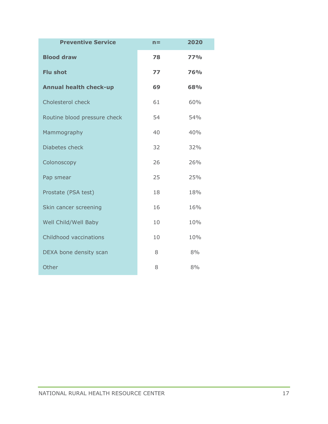| <b>Preventive Service</b>     | $n =$ | 2020       |
|-------------------------------|-------|------------|
| <b>Blood draw</b>             | 78    | <b>77%</b> |
| <b>Flu shot</b>               | 77    | 76%        |
| <b>Annual health check-up</b> | 69    | 68%        |
| Cholesterol check             | 61    | 60%        |
| Routine blood pressure check  | 54    | 54%        |
| Mammography                   | 40    | 40%        |
| Diabetes check                | 32    | 32%        |
| Colonoscopy                   | 26    | 26%        |
| Pap smear                     | 25    | 25%        |
| Prostate (PSA test)           | 18    | 18%        |
| Skin cancer screening         | 16    | 16%        |
| Well Child/Well Baby          | 10    | 10%        |
| Childhood vaccinations        | 10    | 10%        |
| DEXA bone density scan        | 8     | 8%         |
| Other                         | 8     | 8%         |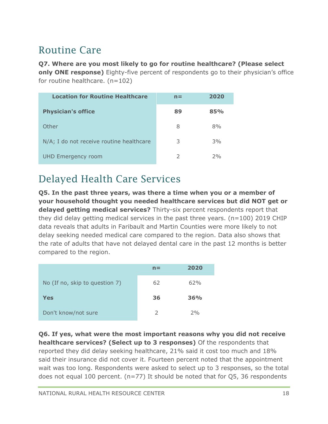### Routine Care

**Q7. Where are you most likely to go for routine healthcare? (Please select only ONE response)** Eighty-five percent of respondents go to their physician's office for routine healthcare.  $(n=102)$ 

| <b>Location for Routine Healthcare</b>   | $n =$         | 2020 |
|------------------------------------------|---------------|------|
| <b>Physician's office</b>                | 89            | 85%  |
| Other                                    | 8             | 8%   |
| N/A; I do not receive routine healthcare | 3             | 3%   |
| <b>UHD Emergency room</b>                | $\mathcal{L}$ | 2%   |

### Delayed Health Care Services

**Q5. In the past three years, was there a time when you or a member of your household thought you needed healthcare services but did NOT get or delayed getting medical services?** Thirty-six percent respondents report that they did delay getting medical services in the past three years. (n=100) 2019 CHIP data reveals that adults in Faribault and Martin Counties were more likely to not delay seeking needed medical care compared to the region. Data also shows that the rate of adults that have not delayed dental care in the past 12 months is better compared to the region.

|                                | $n =$ | 2020 |
|--------------------------------|-------|------|
| No (If no, skip to question 7) | 62    | 62%  |
| Yes                            | 36    | 36%  |
|                                |       |      |

**Q6. If yes, what were the most important reasons why you did not receive healthcare services? (Select up to 3 responses)** Of the respondents that reported they did delay seeking healthcare, 21% said it cost too much and 18% said their insurance did not cover it. Fourteen percent noted that the appointment wait was too long. Respondents were asked to select up to 3 responses, so the total does not equal 100 percent. (n=77) It should be noted that for Q5, 36 respondents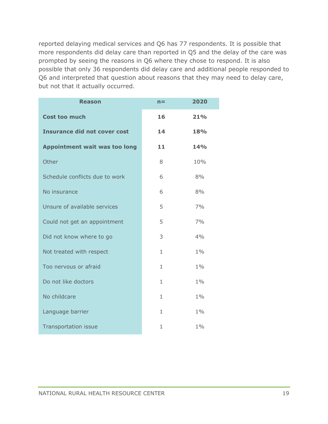reported delaying medical services and Q6 has 77 respondents. It is possible that more respondents did delay care than reported in Q5 and the delay of the care was prompted by seeing the reasons in Q6 where they chose to respond. It is also possible that only 36 respondents did delay care and additional people responded to Q6 and interpreted that question about reasons that they may need to delay care, but not that it actually occurred.

| <b>Reason</b>                        | $n =$        | 2020       |
|--------------------------------------|--------------|------------|
| <b>Cost too much</b>                 | 16           | 21%        |
| <b>Insurance did not cover cost</b>  | 14           | 18%        |
| <b>Appointment wait was too long</b> | 11           | <b>14%</b> |
| Other                                | 8            | 10%        |
| Schedule conflicts due to work       | 6            | 8%         |
| No insurance                         | 6            | 8%         |
| Unsure of available services         | 5            | 7%         |
| Could not get an appointment         | 5            | 7%         |
| Did not know where to go             | 3            | 4%         |
| Not treated with respect             | $\mathbf{1}$ | $1\%$      |
| Too nervous or afraid                | $\mathbf{1}$ | $1\%$      |
| Do not like doctors                  | $\mathbf{1}$ | $1\%$      |
| No childcare                         | $\mathbf{1}$ | $1\%$      |
| Language barrier                     | 1            | $1\%$      |
| Transportation issue                 | 1            | $1\%$      |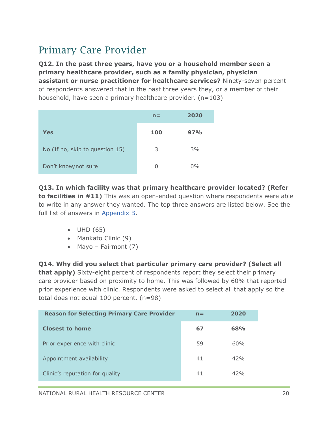### Primary Care Provider

**Q12. In the past three years, have you or a household member seen a primary healthcare provider, such as a family physician, physician assistant or nurse practitioner for healthcare services?** Ninety-seven percent of respondents answered that in the past three years they, or a member of their household, have seen a primary healthcare provider. (n=103)

|                                 | $n =$      | 2020  |
|---------------------------------|------------|-------|
| Yes                             | <b>100</b> | 97%   |
| No (If no, skip to question 15) | 3          | 3%    |
| Don't know/not sure             | U          | $0\%$ |

**Q13. In which facility was that primary healthcare provider located? (Refer to facilities in #11)** This was an open-ended question where respondents were able to write in any answer they wanted. The top three answers are listed below. See the full list of answers in [Appendix B.](Other#_Appendix_b:_)

- UHD (65)
- Mankato Clinic (9)
- Mayo Fairmont (7)

**Q14. Why did you select that particular primary care provider? (Select all that apply)** Sixty-eight percent of respondents report they select their primary care provider based on proximity to home. This was followed by 60% that reported prior experience with clinic. Respondents were asked to select all that apply so the total does not equal 100 percent. (n=98)

| <b>Reason for Selecting Primary Care Provider</b> | $n =$ | 2020 |
|---------------------------------------------------|-------|------|
| <b>Closest to home</b>                            | 67    | 68%  |
| Prior experience with clinic                      | 59    | 60%  |
| Appointment availability                          | 41    | 42%  |
| Clinic's reputation for quality                   | 41    | 42%  |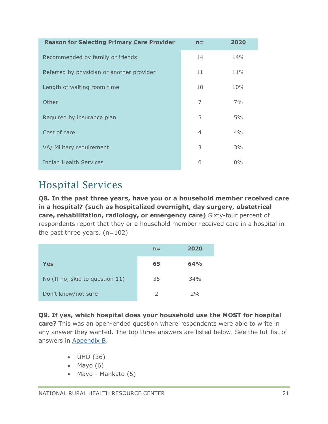| <b>Reason for Selecting Primary Care Provider</b> | $n =$          | 2020  |
|---------------------------------------------------|----------------|-------|
| Recommended by family or friends                  | 14             | 14%   |
| Referred by physician or another provider         | 11             | 11%   |
| Length of waiting room time                       | 10             | 10%   |
| Other                                             | 7              | 7%    |
| Required by insurance plan                        | 5              | 5%    |
| Cost of care                                      | $\overline{4}$ | 4%    |
| VA/ Military requirement                          | 3              | 3%    |
| Indian Health Services                            | 0              | $0\%$ |

### Hospital Services

**Q8. In the past three years, have you or a household member received care in a hospital? (such as hospitalized overnight, day surgery, obstetrical care, rehabilitation, radiology, or emergency care)** Sixty-four percent of respondents report that they or a household member received care in a hospital in the past three years.  $(n=102)$ 

|                                 | $n =$ | 2020 |
|---------------------------------|-------|------|
| Yes                             | 65    | 64%  |
| No (If no, skip to question 11) | 35    | 34%  |
| Don't know/not sure             | 2     | 2%   |

#### **Q9. If yes, which hospital does your household use the MOST for hospital**

**care?** This was an open-ended question where respondents were able to write in any answer they wanted. The top three answers are listed below. See the full list of answers in [Appendix B.](Other#_Appendix_b:_)

- UHD (36)
- Mayo  $(6)$
- Mayo Mankato (5)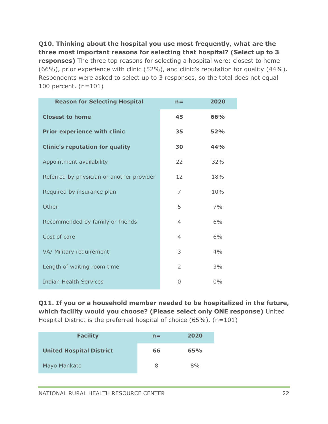**Q10. Thinking about the hospital you use most frequently, what are the three most important reasons for selecting that hospital? (Select up to 3 responses)** The three top reasons for selecting a hospital were: closest to home (66%), prior experience with clinic (52%), and clinic's reputation for quality (44%). Respondents were asked to select up to 3 responses, so the total does not equal 100 percent. (n=101)

| <b>Reason for Selecting Hospital</b>      | $n =$          | 2020  |
|-------------------------------------------|----------------|-------|
| <b>Closest to home</b>                    | 45             | 66%   |
| <b>Prior experience with clinic</b>       | 35             | 52%   |
| <b>Clinic's reputation for quality</b>    | 30             | 44%   |
| Appointment availability                  | 22             | 32%   |
| Referred by physician or another provider | 12             | 18%   |
| Required by insurance plan                | 7              | 10%   |
| Other                                     | 5              | 7%    |
| Recommended by family or friends          | $\overline{4}$ | 6%    |
| Cost of care                              | 4              | 6%    |
| VA/ Military requirement                  | 3              | 4%    |
| Length of waiting room time               | 2              | 3%    |
| <b>Indian Health Services</b>             | O              | $0\%$ |

**Q11. If you or a household member needed to be hospitalized in the future, which facility would you choose? (Please select only ONE response)** United Hospital District is the preferred hospital of choice (65%). (n=101)

| <b>Facility</b>                 | $n =$ | 2020 |
|---------------------------------|-------|------|
| <b>United Hospital District</b> | 66    | 65%  |
| Mayo Mankato                    | 8     | 8%   |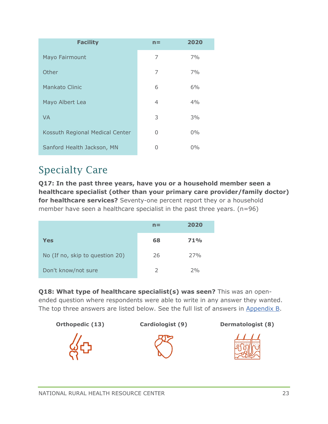| <b>Facility</b>                 | $n =$    | 2020  |
|---------------------------------|----------|-------|
| Mayo Fairmount                  | 7        | 7%    |
| Other                           | 7        | 7%    |
| <b>Mankato Clinic</b>           | 6        | 6%    |
| Mayo Albert Lea                 | 4        | 4%    |
| <b>VA</b>                       | 3        | 3%    |
| Kossuth Regional Medical Center | $\Omega$ | $0\%$ |
| Sanford Health Jackson, MN      | O        | $0\%$ |

### Specialty Care

**Q17: In the past three years, have you or a household member seen a healthcare specialist (other than your primary care provider/family doctor) for healthcare services?** Seventy-one percent report they or a household member have seen a healthcare specialist in the past three years. (n=96)

|                                 | $n =$         | 2020 |
|---------------------------------|---------------|------|
| Yes                             | 68            | 71%  |
| No (If no, skip to question 20) | 26            | 27%  |
| Don't know/not sure             | $\mathcal{L}$ | 2%   |

**Q18: What type of healthcare specialist(s) was seen?** This was an openended question where respondents were able to write in any answer they wanted. The top three answers are listed below. See the full list of answers in [Appendix B.](Other#_Appendix_b:_)





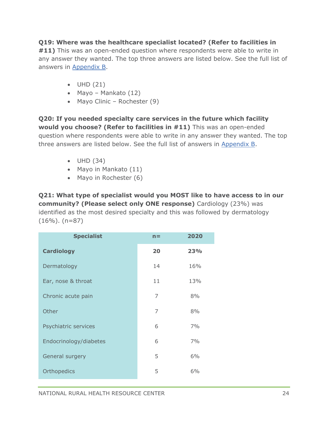#### **Q19: Where was the healthcare specialist located? (Refer to facilities in**

**#11)** This was an open-ended question where respondents were able to write in any answer they wanted. The top three answers are listed below. See the full list of answers in [Appendix B.](Other#_Appendix_b:_)

- UHD (21)
- Mayo Mankato (12)
- Mayo Clinic Rochester (9)

**Q20: If you needed specialty care services in the future which facility would you choose? (Refer to facilities in #11)** This was an open-ended question where respondents were able to write in any answer they wanted. The top three answers are listed below. See the full list of answers in [Appendix B.](Other#_Appendix_b:_)

- UHD (34)
- Mayo in Mankato (11)
- Mayo in Rochester (6)

**Q21: What type of specialist would you MOST like to have access to in our community? (Please select only ONE response)** Cardiology (23%) was identified as the most desired specialty and this was followed by dermatology  $(16\%)$ . (n=87)

| <b>Specialist</b>      | $n =$ | 2020 |
|------------------------|-------|------|
| <b>Cardiology</b>      | 20    | 23%  |
| Dermatology            | 14    | 16%  |
| Ear, nose & throat     | 11    | 13%  |
| Chronic acute pain     | 7     | 8%   |
| Other                  | 7     | 8%   |
| Psychiatric services   | 6     | 7%   |
| Endocrinology/diabetes | 6     | 7%   |
| General surgery        | 5     | 6%   |
| Orthopedics            | 5     | 6%   |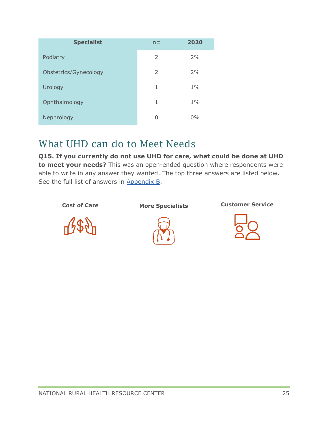| <b>Specialist</b>     | $n =$         | 2020  |
|-----------------------|---------------|-------|
| Podiatry              | $\mathcal{P}$ | 2%    |
| Obstetrics/Gynecology | $\mathcal{P}$ | 2%    |
| Urology               | 1             | $1\%$ |
| Ophthalmology         | 1             | $1\%$ |
| Nephrology            | 0             | $0\%$ |

### What UHD can do to Meet Needs

**Q15. If you currently do not use UHD for care, what could be done at UHD to meet your needs?** This was an open-ended question where respondents were able to write in any answer they wanted. The top three answers are listed below. See the full list of answers in [Appendix B.](Other#_Appendix_b:_)

**Cost of Care More Specialists Customer Service**





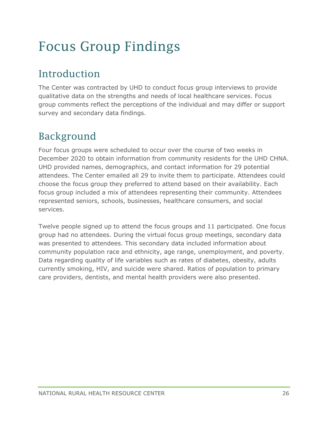# <span id="page-26-0"></span>Focus Group Findings

### Introduction

The Center was contracted by UHD to conduct focus group interviews to provide qualitative data on the strengths and needs of local healthcare services. Focus group comments reflect the perceptions of the individual and may differ or support survey and secondary data findings.

### Background

Four focus groups were scheduled to occur over the course of two weeks in December 2020 to obtain information from community residents for the UHD CHNA. UHD provided names, demographics, and contact information for 29 potential attendees. The Center emailed all 29 to invite them to participate. Attendees could choose the focus group they preferred to attend based on their availability. Each focus group included a mix of attendees representing their community. Attendees represented seniors, schools, businesses, healthcare consumers, and social services.

Twelve people signed up to attend the focus groups and 11 participated. One focus group had no attendees. During the virtual focus group meetings, secondary data was presented to attendees. This secondary data included information about community population race and ethnicity, age range, unemployment, and poverty. Data regarding quality of life variables such as rates of diabetes, obesity, adults currently smoking, HIV, and suicide were shared. Ratios of population to primary care providers, dentists, and mental health providers were also presented.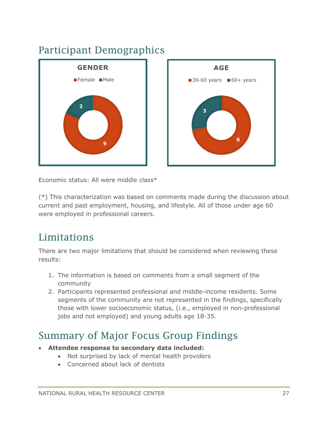### Participant Demographics





Economic status: All were middle class\*

(\*) This characterization was based on comments made during the discussion about current and past employment, housing, and lifestyle. All of those under age 60 were employed in professional careers.

### Limitations

There are two major limitations that should be considered when reviewing these results:

- 1. The information is based on comments from a small segment of the community
- 2. Participants represented professional and middle-income residents. Some segments of the community are not represented in the findings, specifically those with lower socioeconomic status, (i.e., employed in non-professional jobs and not employed) and young adults age 18-35.

### Summary of Major Focus Group Findings

- **Attendee response to secondary data included:**
	- Not surprised by lack of mental health providers
	- Concerned about lack of dentists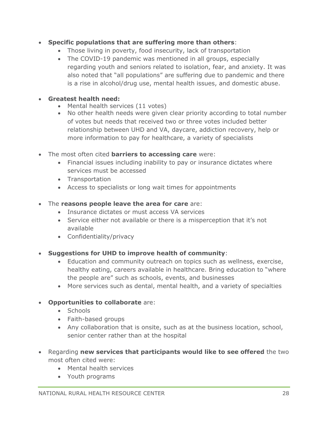- **Specific populations that are suffering more than others**:
	- Those living in poverty, food insecurity, lack of transportation
	- The COVID-19 pandemic was mentioned in all groups, especially regarding youth and seniors related to isolation, fear, and anxiety. It was also noted that "all populations" are suffering due to pandemic and there is a rise in alcohol/drug use, mental health issues, and domestic abuse.
- **Greatest health need:**
	- Mental health services (11 votes)
	- No other health needs were given clear priority according to total number of votes but needs that received two or three votes included better relationship between UHD and VA, daycare, addiction recovery, help or more information to pay for healthcare, a variety of specialists
- The most often cited **barriers to accessing care** were:
	- Financial issues including inability to pay or insurance dictates where services must be accessed
	- Transportation
	- Access to specialists or long wait times for appointments
- The **reasons people leave the area for care** are:
	- Insurance dictates or must access VA services
	- Service either not available or there is a misperception that it's not available
	- Confidentiality/privacy
- **Suggestions for UHD to improve health of community**:
	- Education and community outreach on topics such as wellness, exercise, healthy eating, careers available in healthcare. Bring education to "where the people are" such as schools, events, and businesses
	- More services such as dental, mental health, and a variety of specialties

#### • **Opportunities to collaborate** are:

- Schools
- Faith-based groups
- Any collaboration that is onsite, such as at the business location, school, senior center rather than at the hospital
- Regarding **new services that participants would like to see offered** the two most often cited were:
	- Mental health services
	- Youth programs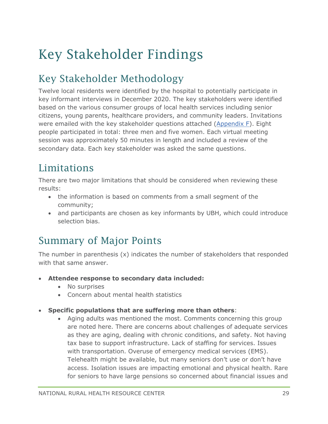# <span id="page-29-0"></span>Key Stakeholder Findings

### Key Stakeholder Methodology

Twelve local residents were identified by the hospital to potentially participate in key informant interviews in December 2020. The key stakeholders were identified based on the various consumer groups of local health services including senior citizens, young parents, healthcare providers, and community leaders. Invitations were emailed with the key stakeholder questions attached [\(Appendix F\)](#page-69-0). Eight people participated in total: three men and five women. Each virtual meeting session was approximately 50 minutes in length and included a review of the secondary data. Each key stakeholder was asked the same questions.

### **Limitations**

There are two major limitations that should be considered when reviewing these results:

- the information is based on comments from a small segment of the community;
- and participants are chosen as key informants by UBH, which could introduce selection bias.

### Summary of Major Points

The number in parenthesis  $(x)$  indicates the number of stakeholders that responded with that same answer.

- **Attendee response to secondary data included:**
	- No surprises
	- Concern about mental health statistics
- **Specific populations that are suffering more than others**:
	- Aging adults was mentioned the most. Comments concerning this group are noted here. There are concerns about challenges of adequate services as they are aging, dealing with chronic conditions, and safety. Not having tax base to support infrastructure. Lack of staffing for services. Issues with transportation. Overuse of emergency medical services (EMS). Telehealth might be available, but many seniors don't use or don't have access. Isolation issues are impacting emotional and physical health. Rare for seniors to have large pensions so concerned about financial issues and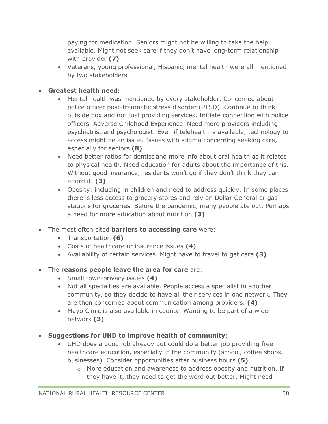paying for medication. Seniors might not be willing to take the help available. Might not seek care if they don't have long-term relationship with provider **(7)**

• Veterans, young professional, Hispanic, mental health were all mentioned by two stakeholders

#### • **Greatest health need:**

- Mental health was mentioned by every stakeholder. Concerned about police officer post-traumatic stress disorder (PTSD). Continue to think outside box and not just providing services. Initiate connection with police officers. Adverse Childhood Experience. Need more providers including psychiatrist and psychologist. Even if telehealth is available, technology to access might be an issue. Issues with stigma concerning seeking care, especially for seniors **(8)**
- Need better ratios for dentist and more info about oral health as it relates to physical health. Need education for adults about the importance of this. Without good insurance, residents won't go if they don't think they can afford it. **(3)**
- Obesity: including in children and need to address quickly. In some places there is less access to grocery stores and rely on Dollar General or gas stations for groceries. Before the pandemic, many people ate out. Perhaps a need for more education about nutrition **(3)**
- The most often cited **barriers to accessing care** were:
	- Transportation **(6)**
	- Costs of healthcare or insurance issues **(4)**
	- Availability of certain services. Might have to travel to get care **(3)**
- The **reasons people leave the area for care** are:
	- Small town-privacy issues **(4)**
	- Not all specialties are available. People access a specialist in another community, so they decide to have all their services in one network. They are then concerned about communication among providers. **(4)**
	- Mayo Clinic is also available in county. Wanting to be part of a wider network **(3)**
- **Suggestions for UHD to improve health of community**:
	- UHD does a good job already but could do a better job providing free healthcare education, especially in the community (school, coffee shops, businesses). Consider opportunities after business hours **(5)**
		- $\circ$  More education and awareness to address obesity and nutrition. If they have it, they need to get the word out better. Might need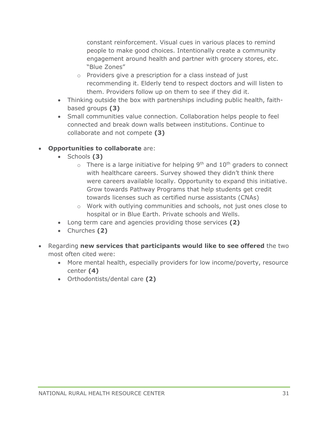constant reinforcement. Visual cues in various places to remind people to make good choices. Intentionally create a community engagement around health and partner with grocery stores, etc. "Blue Zones"

- o Providers give a prescription for a class instead of just recommending it. Elderly tend to respect doctors and will listen to them. Providers follow up on them to see if they did it.
- Thinking outside the box with partnerships including public health, faithbased groups **(3)**
- Small communities value connection. Collaboration helps people to feel connected and break down walls between institutions. Continue to collaborate and not compete **(3)**

#### • **Opportunities to collaborate** are:

- Schools **(3)**
	- $\circ$  There is a large initiative for helping 9<sup>th</sup> and 10<sup>th</sup> graders to connect with healthcare careers. Survey showed they didn't think there were careers available locally. Opportunity to expand this initiative. Grow towards Pathway Programs that help students get credit towards licenses such as certified nurse assistants (CNAs)
	- o Work with outlying communities and schools, not just ones close to hospital or in Blue Earth. Private schools and Wells.
- Long term care and agencies providing those services **(2)**
- Churches **(2)**
- Regarding **new services that participants would like to see offered** the two most often cited were:
	- More mental health, especially providers for low income/poverty, resource center **(4)**
	- Orthodontists/dental care **(2)**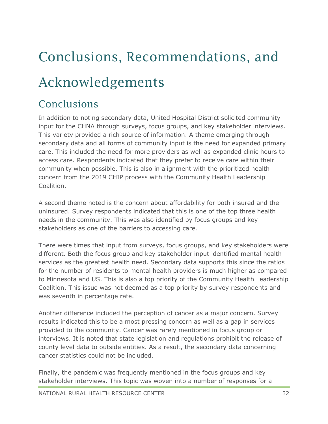# <span id="page-32-0"></span>Conclusions, Recommendations, and Acknowledgements

### Conclusions

In addition to noting secondary data, United Hospital District solicited community input for the CHNA through surveys, focus groups, and key stakeholder interviews. This variety provided a rich source of information. A theme emerging through secondary data and all forms of community input is the need for expanded primary care. This included the need for more providers as well as expanded clinic hours to access care. Respondents indicated that they prefer to receive care within their community when possible. This is also in alignment with the prioritized health concern from the 2019 CHIP process with the Community Health Leadership Coalition.

A second theme noted is the concern about affordability for both insured and the uninsured. Survey respondents indicated that this is one of the top three health needs in the community. This was also identified by focus groups and key stakeholders as one of the barriers to accessing care.

There were times that input from surveys, focus groups, and key stakeholders were different. Both the focus group and key stakeholder input identified mental health services as the greatest health need. Secondary data supports this since the ratios for the number of residents to mental health providers is much higher as compared to Minnesota and US. This is also a top priority of the Community Health Leadership Coalition. This issue was not deemed as a top priority by survey respondents and was seventh in percentage rate.

Another difference included the perception of cancer as a major concern. Survey results indicated this to be a most pressing concern as well as a gap in services provided to the community. Cancer was rarely mentioned in focus group or interviews. It is noted that state legislation and regulations prohibit the release of county level data to outside entities. As a result, the secondary data concerning cancer statistics could not be included.

Finally, the pandemic was frequently mentioned in the focus groups and key stakeholder interviews. This topic was woven into a number of responses for a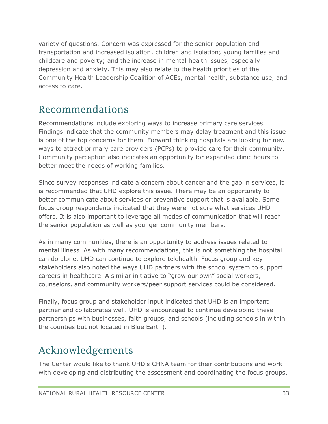variety of questions. Concern was expressed for the senior population and transportation and increased isolation; children and isolation; young families and childcare and poverty; and the increase in mental health issues, especially depression and anxiety. This may also relate to the health priorities of the Community Health Leadership Coalition of ACEs, mental health, substance use, and access to care.

### Recommendations

Recommendations include exploring ways to increase primary care services. Findings indicate that the community members may delay treatment and this issue is one of the top concerns for them. Forward thinking hospitals are looking for new ways to attract primary care providers (PCPs) to provide care for their community. Community perception also indicates an opportunity for expanded clinic hours to better meet the needs of working families.

Since survey responses indicate a concern about cancer and the gap in services, it is recommended that UHD explore this issue. There may be an opportunity to better communicate about services or preventive support that is available. Some focus group respondents indicated that they were not sure what services UHD offers. It is also important to leverage all modes of communication that will reach the senior population as well as younger community members.

As in many communities, there is an opportunity to address issues related to mental illness. As with many recommendations, this is not something the hospital can do alone. UHD can continue to explore telehealth. Focus group and key stakeholders also noted the ways UHD partners with the school system to support careers in healthcare. A similar initiative to "grow our own" social workers, counselors, and community workers/peer support services could be considered.

Finally, focus group and stakeholder input indicated that UHD is an important partner and collaborates well. UHD is encouraged to continue developing these partnerships with businesses, faith groups, and schools (including schools in within the counties but not located in Blue Earth).

### Acknowledgements

The Center would like to thank UHD's CHNA team for their contributions and work with developing and distributing the assessment and coordinating the focus groups.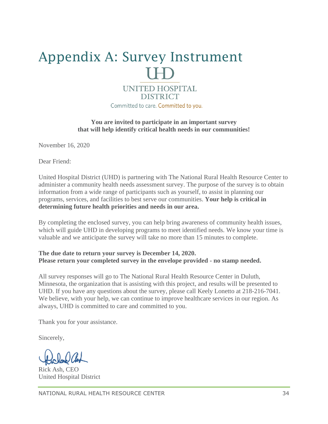# <span id="page-34-0"></span>Appendix A: Survey Instrument **UNITED HOSPITAL DISTRICT**

Committed to care. Committed to you.

**You are invited to participate in an important survey that will help identify critical health needs in our communities!** 

November 16, 2020

Dear Friend:

United Hospital District (UHD) is partnering with The National Rural Health Resource Center to administer a community health needs assessment survey. The purpose of the survey is to obtain information from a wide range of participants such as yourself, to assist in planning our programs, services, and facilities to best serve our communities. **Your help is critical in determining future health priorities and needs in our area.**

By completing the enclosed survey, you can help bring awareness of community health issues, which will guide UHD in developing programs to meet identified needs. We know your time is valuable and we anticipate the survey will take no more than 15 minutes to complete.

#### **The due date to return your survey is December 14, 2020. Please return your completed survey in the envelope provided - no stamp needed.**

All survey responses will go to The National Rural Health Resource Center in Duluth, Minnesota, the organization that is assisting with this project, and results will be presented to UHD. If you have any questions about the survey, please call Keely Lonetto at 218-216-7041. We believe, with your help, we can continue to improve healthcare services in our region. As always, UHD is committed to care and committed to you.

Thank you for your assistance.

Sincerely,

Rick Ash, CEO United Hospital District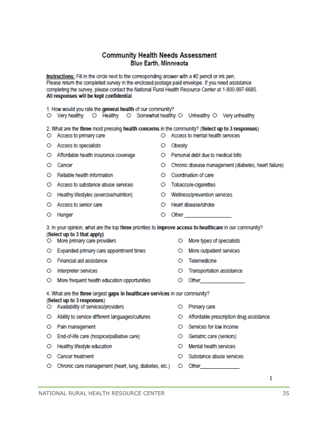#### **Community Health Needs Assessment Blue Earth, Minnesota**

Instructions: Fill in the circle next to the corresponding answer with a #2 pencil or ink pen. Please return the completed survey in the enclosed postage paid envelope. If you need assistance completing the survey, please contact the National Rural Health Resource Center at 1-800-997-6685. All responses will be kept confidential.

|         | 1. How would you rate the general health of our community?<br>O Very healthy O Healthy O Somewhat healthy O Unhealthy O Very unhealthy                                                                  |   |         |                                                                                                                                                                                                                                 |  |  |  |  |
|---------|---------------------------------------------------------------------------------------------------------------------------------------------------------------------------------------------------------|---|---------|---------------------------------------------------------------------------------------------------------------------------------------------------------------------------------------------------------------------------------|--|--|--|--|
| O.      | 2. What are the three most pressing health concerns in the community? (Select up to 3 responses)<br>O Access to mental health services<br>Access to primary care                                        |   |         |                                                                                                                                                                                                                                 |  |  |  |  |
|         | O Access to specialists                                                                                                                                                                                 | О | Obesity |                                                                                                                                                                                                                                 |  |  |  |  |
| O.      | Affordable health insurance coverage                                                                                                                                                                    | O |         | Personal debt due to medical bills                                                                                                                                                                                              |  |  |  |  |
| O       | Cancer                                                                                                                                                                                                  | O |         | Chronic disease management (diabetes, heart failure)                                                                                                                                                                            |  |  |  |  |
| O       | Reliable health information                                                                                                                                                                             | O |         | Coordination of care                                                                                                                                                                                                            |  |  |  |  |
|         | O Access to substance abuse services                                                                                                                                                                    |   |         | O Tobacco/e-cigarettes                                                                                                                                                                                                          |  |  |  |  |
| O       | Healthy lifestyles (exercise/nutrition)                                                                                                                                                                 | O |         | Wellness/prevention services                                                                                                                                                                                                    |  |  |  |  |
| O       | Access to senior care                                                                                                                                                                                   | O |         | Heart disease/stroke                                                                                                                                                                                                            |  |  |  |  |
| O       | Hunger                                                                                                                                                                                                  | О |         | Other _________________                                                                                                                                                                                                         |  |  |  |  |
| O.      | 3. In your opinion, what are the top three priorities to improve access to healthcare in our community?<br>(Select up to 3 that apply)<br>More primary care providers<br>More types of specialists<br>O |   |         |                                                                                                                                                                                                                                 |  |  |  |  |
| O.      | Expanded primary care appointment times                                                                                                                                                                 |   | O       | More outpatient services                                                                                                                                                                                                        |  |  |  |  |
| O       | Financial aid assistance                                                                                                                                                                                |   | O       | Telemedicine                                                                                                                                                                                                                    |  |  |  |  |
| $\circ$ | Interpreter services                                                                                                                                                                                    |   | O       | Transportation assistance                                                                                                                                                                                                       |  |  |  |  |
| O.      | More frequent health education opportunities                                                                                                                                                            |   | O       | Other and the contract of the contract of the contract of the contract of the contract of the contract of the contract of the contract of the contract of the contract of the contract of the contract of the contract of the   |  |  |  |  |
|         | 4. What are the three largest gaps in healthcare services in our community?<br>(Select up to 3 responses)<br>O Availability of services/providers                                                       |   | O       | Primary care                                                                                                                                                                                                                    |  |  |  |  |
| O.      | Ability to service different languages/cultures                                                                                                                                                         |   | O       | Affordable prescription drug assistance                                                                                                                                                                                         |  |  |  |  |
| O.      | Pain management                                                                                                                                                                                         |   | O       | Services for low income                                                                                                                                                                                                         |  |  |  |  |
| O.      | End-of-life care (hospice/palliative care)                                                                                                                                                              |   | О       | Geriatric care (seniors)                                                                                                                                                                                                        |  |  |  |  |
| O       | Healthy lifestyle education                                                                                                                                                                             |   | O       | Mental health services                                                                                                                                                                                                          |  |  |  |  |
|         | O Cancer treatment                                                                                                                                                                                      |   | O       | Substance abuse services                                                                                                                                                                                                        |  |  |  |  |
|         | O Chronic care management (heart, lung, diabetes, etc.)                                                                                                                                                 |   | O       | Other the control of the control of the control of the control of the control of the control of the control of the control of the control of the control of the control of the control of the control of the control of the con |  |  |  |  |

 $\mathbf{1}$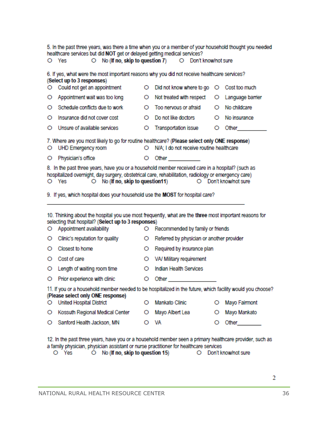|                                                                                                                                                                       | 5. In the past three years, was there a time when you or a member of your household thought you needed<br>healthcare services but did NOT get or delayed getting medical services?<br>O Yes                                                                                                                                                                                                                                                                                                                                            |         | O No (If no, skip to question 7) O Don't know/not sure                                                                                                                                                                          |   |                                                                                                                |  |  |
|-----------------------------------------------------------------------------------------------------------------------------------------------------------------------|----------------------------------------------------------------------------------------------------------------------------------------------------------------------------------------------------------------------------------------------------------------------------------------------------------------------------------------------------------------------------------------------------------------------------------------------------------------------------------------------------------------------------------------|---------|---------------------------------------------------------------------------------------------------------------------------------------------------------------------------------------------------------------------------------|---|----------------------------------------------------------------------------------------------------------------|--|--|
|                                                                                                                                                                       |                                                                                                                                                                                                                                                                                                                                                                                                                                                                                                                                        |         |                                                                                                                                                                                                                                 |   |                                                                                                                |  |  |
|                                                                                                                                                                       | 6. If yes, what were the most important reasons why you did not receive healthcare services?<br>(Select up to 3 responses)                                                                                                                                                                                                                                                                                                                                                                                                             |         |                                                                                                                                                                                                                                 |   |                                                                                                                |  |  |
| O                                                                                                                                                                     | Could not get an appointment                                                                                                                                                                                                                                                                                                                                                                                                                                                                                                           | O       | Did not know where to go                                                                                                                                                                                                        |   | O Cost too much                                                                                                |  |  |
| O                                                                                                                                                                     | Appointment wait was too long                                                                                                                                                                                                                                                                                                                                                                                                                                                                                                          | O       | Not treated with respect                                                                                                                                                                                                        | O | Language barrier                                                                                               |  |  |
| O                                                                                                                                                                     | Schedule conflicts due to work                                                                                                                                                                                                                                                                                                                                                                                                                                                                                                         | O.      | Too nervous or afraid                                                                                                                                                                                                           | O | No childcare                                                                                                   |  |  |
| O                                                                                                                                                                     | Insurance did not cover cost                                                                                                                                                                                                                                                                                                                                                                                                                                                                                                           | O.      | Do not like doctors                                                                                                                                                                                                             | O | No insurance                                                                                                   |  |  |
| O                                                                                                                                                                     | Unsure of available services                                                                                                                                                                                                                                                                                                                                                                                                                                                                                                           | O       | <b>Transportation issue</b>                                                                                                                                                                                                     | O | Other the control of the control of the control of the control of the control of the control of the control of |  |  |
| 7. Where are you most likely to go for routine healthcare? (Please select only ONE response)<br>O N/A; I do not receive routine healthcare<br>UHD Emergency room<br>O |                                                                                                                                                                                                                                                                                                                                                                                                                                                                                                                                        |         |                                                                                                                                                                                                                                 |   |                                                                                                                |  |  |
| O.                                                                                                                                                                    | Physician's office                                                                                                                                                                                                                                                                                                                                                                                                                                                                                                                     | O       | Other and the contract of the contract of the contract of the contract of the contract of the contract of the contract of the contract of the contract of the contract of the contract of the contract of the contract of the c |   |                                                                                                                |  |  |
| O.                                                                                                                                                                    | 8. In the past three years, have you or a household member received care in a hospital? (such as<br>hospitalized overnight, day surgery, obstetrical care, rehabilitation, radiology or emergency care)<br>$\circ$ No (If no, skip to question 11)<br>O Don't know/not sure<br>O Yes<br>9. If yes, which hospital does your household use the MOST for hospital care?<br>10. Thinking about the hospital you use most frequently, what are the three most important reasons for<br>selecting that hospital? (Select up to 3 responses) |         |                                                                                                                                                                                                                                 |   |                                                                                                                |  |  |
| O                                                                                                                                                                     | Appointment availability<br>Clinic's reputation for quality                                                                                                                                                                                                                                                                                                                                                                                                                                                                            | O<br>O  | Recommended by family or friends<br>Referred by physician or another provider                                                                                                                                                   |   |                                                                                                                |  |  |
| О                                                                                                                                                                     | Closest to home                                                                                                                                                                                                                                                                                                                                                                                                                                                                                                                        | $\circ$ | Required by insurance plan                                                                                                                                                                                                      |   |                                                                                                                |  |  |
| О                                                                                                                                                                     | Cost of care                                                                                                                                                                                                                                                                                                                                                                                                                                                                                                                           | O.      | VA/ Military requirement                                                                                                                                                                                                        |   |                                                                                                                |  |  |
| O                                                                                                                                                                     | Length of waiting room time                                                                                                                                                                                                                                                                                                                                                                                                                                                                                                            | O       | Indian Health Services                                                                                                                                                                                                          |   |                                                                                                                |  |  |
| О.                                                                                                                                                                    | Prior experience with clinic                                                                                                                                                                                                                                                                                                                                                                                                                                                                                                           | O       | Other                                                                                                                                                                                                                           |   |                                                                                                                |  |  |
| O                                                                                                                                                                     | 11. If you or a household member needed to be hospitalized in the future, which facility would you choose?<br>(Please select only ONE response)<br><b>United Hospital District</b>                                                                                                                                                                                                                                                                                                                                                     | O       | Mankato Clinic                                                                                                                                                                                                                  | O | Mayo Fairmont                                                                                                  |  |  |
| O                                                                                                                                                                     | Kossuth Regional Medical Center                                                                                                                                                                                                                                                                                                                                                                                                                                                                                                        | O       | Mayo Albert Lea                                                                                                                                                                                                                 | O | Mayo Mankato                                                                                                   |  |  |
|                                                                                                                                                                       |                                                                                                                                                                                                                                                                                                                                                                                                                                                                                                                                        |         |                                                                                                                                                                                                                                 |   |                                                                                                                |  |  |
|                                                                                                                                                                       | O Sanford Health Jackson, MN                                                                                                                                                                                                                                                                                                                                                                                                                                                                                                           |         | O VA                                                                                                                                                                                                                            | O | Other                                                                                                          |  |  |

12. In the past three years, have you or a household member seen a primary healthcare provider, such as a family physician, physician assistant or nurse practitioner for healthcare services<br>
O Yes 
O No (If no, skip to question 15) 
O Don't know/not sure

 $\overline{2}$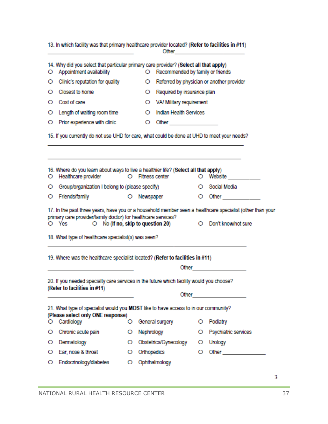|                                                                                                                                                                                                                                           | 13. In which facility was that primary healthcare provider located? (Refer to facilities in #11)                  |    |                                             |    |                                                                                                                                                                                                                                |
|-------------------------------------------------------------------------------------------------------------------------------------------------------------------------------------------------------------------------------------------|-------------------------------------------------------------------------------------------------------------------|----|---------------------------------------------|----|--------------------------------------------------------------------------------------------------------------------------------------------------------------------------------------------------------------------------------|
| O                                                                                                                                                                                                                                         | 14. Why did you select that particular primary care provider? (Select all that apply)<br>Appointment availability |    | Recommended by family or friends<br>$\circ$ |    |                                                                                                                                                                                                                                |
| O                                                                                                                                                                                                                                         | Clinic's reputation for quality                                                                                   |    | O                                           |    | Referred by physician or another provider                                                                                                                                                                                      |
| O                                                                                                                                                                                                                                         | Closest to home                                                                                                   |    | Required by insurance plan<br>O.            |    |                                                                                                                                                                                                                                |
| О                                                                                                                                                                                                                                         | Cost of care                                                                                                      |    | O VA/ Military requirement                  |    |                                                                                                                                                                                                                                |
| O                                                                                                                                                                                                                                         | Length of waiting room time                                                                                       |    | Indian Health Services<br>O                 |    |                                                                                                                                                                                                                                |
| O                                                                                                                                                                                                                                         | Prior experience with clinic                                                                                      |    | $\circ$                                     |    |                                                                                                                                                                                                                                |
|                                                                                                                                                                                                                                           | 15. If you currently do not use UHD for care, what could be done at UHD to meet your needs?                       |    |                                             |    |                                                                                                                                                                                                                                |
| O                                                                                                                                                                                                                                         | 16. Where do you learn about ways to live a healthier life? (Select all that apply)<br>Healthcare provider        |    | O Fitness center                            | O  | Website <b>Website</b>                                                                                                                                                                                                         |
| O                                                                                                                                                                                                                                         | Group/organization I belong to (please specify)                                                                   |    |                                             |    | O Social Media                                                                                                                                                                                                                 |
| O                                                                                                                                                                                                                                         | Friends/family                                                                                                    |    | O Newspaper                                 | O. | Other and the control of the control of the control of the control of the control of the control of the control of the control of the control of the control of the control of the control of the control of the control of th |
|                                                                                                                                                                                                                                           | primary care provider/family doctor) for healthcare services?<br>O Yes                                            |    | $\circ$ No (If no, skip to question 20)     |    | 17. In the past three years, have you or a household member seen a healthcare specialist (other than your<br>O Don't know/not sure                                                                                             |
|                                                                                                                                                                                                                                           | 18. What type of healthcare specialist(s) was seen?                                                               |    |                                             |    |                                                                                                                                                                                                                                |
|                                                                                                                                                                                                                                           | 19. Where was the healthcare specialist located? (Refer to facilities in #11)                                     |    |                                             |    |                                                                                                                                                                                                                                |
| 20. If you needed specialty care services in the future which facility would you choose?<br>(Refer to facilities in #11)<br>Other and the contract of the contract of the contract of the contract of the contract of the contract of the |                                                                                                                   |    |                                             |    |                                                                                                                                                                                                                                |
| 21. What type of specialist would you MOST like to have access to in our community?<br>(Please select only ONE response)                                                                                                                  |                                                                                                                   |    |                                             |    |                                                                                                                                                                                                                                |
| $\circ$                                                                                                                                                                                                                                   | Cardiology                                                                                                        | О. | General surgery                             | O  | Podiatry                                                                                                                                                                                                                       |
| O                                                                                                                                                                                                                                         | Chronic acute pain                                                                                                | O  | Nephrology                                  | O  | Psychiatric services                                                                                                                                                                                                           |
| O                                                                                                                                                                                                                                         | Dermatology                                                                                                       |    | O Obstetrics/Gynecology                     | O. | Urology                                                                                                                                                                                                                        |
| О                                                                                                                                                                                                                                         | Ear, nose & throat                                                                                                | O  | Orthopedics                                 | О  | Other <b>Communication</b>                                                                                                                                                                                                     |
| $\circ$                                                                                                                                                                                                                                   | Endocrinology/diabetes                                                                                            |    | O Ophthalmology                             |    |                                                                                                                                                                                                                                |

3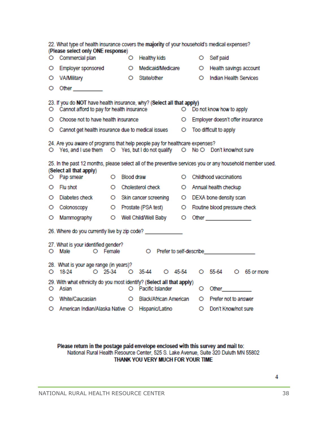|                                                                                                                                                             | 22. What type of health insurance covers the majority of your household's medical expenses?<br>(Please select only ONE response)                                                                                                     |         |            |                          |           |         |   |                                                                                                                                                                                                                                    |  |  |
|-------------------------------------------------------------------------------------------------------------------------------------------------------------|--------------------------------------------------------------------------------------------------------------------------------------------------------------------------------------------------------------------------------------|---------|------------|--------------------------|-----------|---------|---|------------------------------------------------------------------------------------------------------------------------------------------------------------------------------------------------------------------------------------|--|--|
| O                                                                                                                                                           | Commercial plan                                                                                                                                                                                                                      |         | O          | <b>Healthy kids</b>      |           |         | O | Self paid                                                                                                                                                                                                                          |  |  |
| O                                                                                                                                                           | <b>Employer sponsored</b>                                                                                                                                                                                                            |         | O          | Medicaid/Medicare        |           |         | O | Health savings account                                                                                                                                                                                                             |  |  |
| O                                                                                                                                                           | VA/Military                                                                                                                                                                                                                          |         | $\circ$    | State/other              |           |         | O | Indian Health Services                                                                                                                                                                                                             |  |  |
| O                                                                                                                                                           | Other <b>Communist Communist Communist Communist Communist Communist Communist Communist Communist Communist Communist Communist Communist Communist Communist Communist Communist Communist Communist Communist Communist Commu</b> |         |            |                          |           |         |   |                                                                                                                                                                                                                                    |  |  |
| O                                                                                                                                                           | 23. If you do NOT have health insurance, why? (Select all that apply)<br>Cannot afford to pay for health insurance<br>O Do not know how to apply                                                                                     |         |            |                          |           |         |   |                                                                                                                                                                                                                                    |  |  |
| О                                                                                                                                                           | Choose not to have health insurance                                                                                                                                                                                                  |         |            |                          |           | $\circ$ |   | Employer doesn't offer insurance                                                                                                                                                                                                   |  |  |
| O                                                                                                                                                           | Cannot get health insurance due to medical issues                                                                                                                                                                                    |         |            |                          |           | $\circ$ |   | Too difficult to apply                                                                                                                                                                                                             |  |  |
| 24. Are you aware of programs that help people pay for healthcare expenses?<br>○ Yes, and I use them ○ Yes, but I do not qualify ○ No ○ Don't know/not sure |                                                                                                                                                                                                                                      |         |            |                          |           |         |   |                                                                                                                                                                                                                                    |  |  |
|                                                                                                                                                             | 25. In the past 12 months, please select all of the preventive services you or any household member used.<br>(Select all that apply)                                                                                                 |         |            |                          |           |         |   |                                                                                                                                                                                                                                    |  |  |
| O                                                                                                                                                           | Pap smear                                                                                                                                                                                                                            | Ο       | Blood draw |                          |           | O       |   | Childhood vaccinations                                                                                                                                                                                                             |  |  |
| O                                                                                                                                                           | Flu shot                                                                                                                                                                                                                             | Ο       |            | Cholesterol check        |           |         |   | O Annual health checkup                                                                                                                                                                                                            |  |  |
| Ο                                                                                                                                                           | Diabetes check                                                                                                                                                                                                                       | $\circ$ |            | Skin cancer screening    |           | $\circ$ |   | DEXA bone density scan                                                                                                                                                                                                             |  |  |
| О                                                                                                                                                           | Colonoscopy                                                                                                                                                                                                                          | $\circ$ |            | Prostate (PSA test)      |           | $\circ$ |   | Routine blood pressure check                                                                                                                                                                                                       |  |  |
| O                                                                                                                                                           | Mammography                                                                                                                                                                                                                          | $\circ$ |            | Well Child/Well Baby     |           | $\circ$ |   | Other and the contract of the contract of the contract of the contract of the contract of the contract of the                                                                                                                      |  |  |
|                                                                                                                                                             | 26. Where do you currently live by zip code? _____________                                                                                                                                                                           |         |            |                          |           |         |   |                                                                                                                                                                                                                                    |  |  |
|                                                                                                                                                             | 27. What is your identified gender?<br>$\circ$<br>Male<br>O Female<br>O Prefer to self-describe experience of the self-                                                                                                              |         |            |                          |           |         |   |                                                                                                                                                                                                                                    |  |  |
|                                                                                                                                                             | 28. What is your age range (in years)?<br>$O$ 25-34<br>$O$ 18-24                                                                                                                                                                     |         |            | $\bigcirc$ 35-44         | $O$ 45-54 |         |   | O 55-64 O 65 or more                                                                                                                                                                                                               |  |  |
| Ο                                                                                                                                                           | 29. With what ethnicity do you most identify? (Select all that apply)<br>Asian                                                                                                                                                       |         |            | O Pacific Islander       |           |         | O | <b>Other Contract Contract Contract Contract Contract Contract Contract Contract Contract Contract Contract Contract Contract Contract Contract Contract Contract Contract Contract Contract Contract Contract Contract Contra</b> |  |  |
| O                                                                                                                                                           | White/Caucasian                                                                                                                                                                                                                      |         |            | O Black/African American |           |         |   | O Prefer not to answer                                                                                                                                                                                                             |  |  |
| O                                                                                                                                                           | American Indian/Alaska Native O Hispanic/Latino                                                                                                                                                                                      |         |            |                          |           |         | O | Don't Know/not sure                                                                                                                                                                                                                |  |  |

Please return in the postage paid envelope enclosed with this survey and mail to:<br>National Rural Health Resource Center, 525 S. Lake Avenue, Suite 320 Duluth MN 55802 THANK YOU VERY MUCH FOR YOUR TIME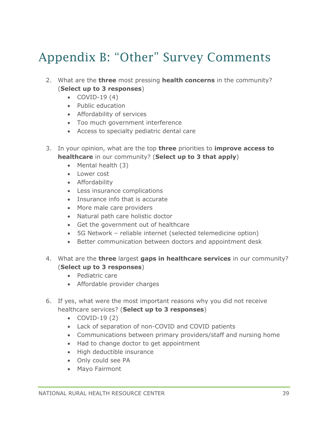# <span id="page-39-0"></span>Appendix B: "Other" Survey Comments

- 2. What are the **three** most pressing **health concerns** in the community? (**Select up to 3 responses**)
	- $\bullet$  COVID-19 $(4)$
	- Public education
	- Affordability of services
	- Too much government interference
	- Access to specialty pediatric dental care
- 3. In your opinion, what are the top **three** priorities to **improve access to healthcare** in our community? (**Select up to 3 that apply**)
	- Mental health (3)
	- Lower cost
	- Affordability
	- Less insurance complications
	- Insurance info that is accurate
	- More male care providers
	- Natural path care holistic doctor
	- Get the government out of healthcare
	- 5G Network reliable internet (selected telemedicine option)
	- Better communication between doctors and appointment desk
- 4. What are the **three** largest **gaps in healthcare services** in our community? (**Select up to 3 responses**)
	- Pediatric care
	- Affordable provider charges
- 6. If yes, what were the most important reasons why you did not receive healthcare services? (**Select up to 3 responses**)
	- COVID-19 (2)
	- Lack of separation of non-COVID and COVID patients
	- Communications between primary providers/staff and nursing home
	- Had to change doctor to get appointment
	- High deductible insurance
	- Only could see PA
	- Mayo Fairmont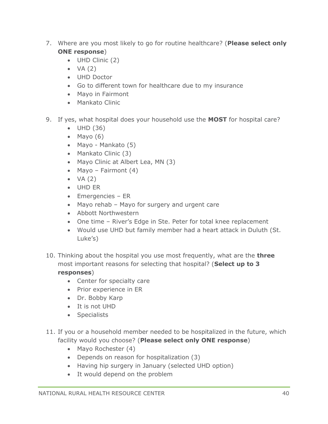- 7. Where are you most likely to go for routine healthcare? (**Please select only ONE response**)
	- UHD Clinic (2)
	- $\bullet$  VA (2)
	- UHD Doctor
	- Go to different town for healthcare due to my insurance
	- Mayo in Fairmont
	- Mankato Clinic
- 9. If yes, what hospital does your household use the **MOST** for hospital care?
	- UHD (36)
	- $\bullet$  Mayo (6)
	- Mayo Mankato (5)
	- Mankato Clinic (3)
	- Mayo Clinic at Albert Lea, MN (3)
	- Mayo Fairmont  $(4)$
	- $\bullet$  VA (2)
	- UHD ER
	- Emergencies ER
	- Mayo rehab Mayo for surgery and urgent care
	- Abbott Northwestern
	- One time River's Edge in Ste. Peter for total knee replacement
	- Would use UHD but family member had a heart attack in Duluth (St. Luke's)
- 10. Thinking about the hospital you use most frequently, what are the **three** most important reasons for selecting that hospital? (**Select up to 3 responses**)
	- Center for specialty care
	- Prior experience in ER
	- Dr. Bobby Karp
	- It is not UHD
	- Specialists
- 11. If you or a household member needed to be hospitalized in the future, which facility would you choose? (**Please select only ONE response**)
	- Mayo Rochester (4)
	- Depends on reason for hospitalization (3)
	- Having hip surgery in January (selected UHD option)
	- It would depend on the problem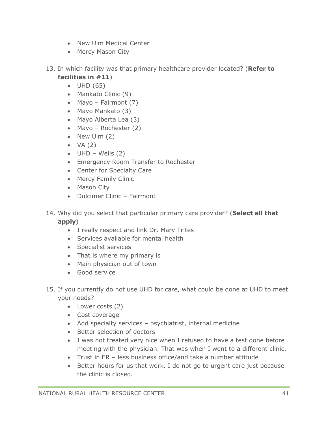- New Ulm Medical Center
- Mercy Mason City
- 13. In which facility was that primary healthcare provider located? (**Refer to facilities in #11**)
	- UHD (65)
	- Mankato Clinic (9)
	- Mayo Fairmont (7)
	- Mayo Mankato (3)
	- Mayo Alberta Lea (3)
	- Mayo Rochester (2)
	- New Ulm  $(2)$
	- $\bullet$  VA (2)
	- $\bullet$  UHD Wells (2)
	- Emergency Room Transfer to Rochester
	- Center for Specialty Care
	- Mercy Family Clinic
	- Mason City
	- Dulcimer Clinic Fairmont
- 14. Why did you select that particular primary care provider? (**Select all that apply**)
	- I really respect and link Dr. Mary Trites
	- Services available for mental health
	- Specialist services
	- That is where my primary is
	- Main physician out of town
	- Good service
- 15. If you currently do not use UHD for care, what could be done at UHD to meet your needs?
	- Lower costs (2)
	- Cost coverage
	- Add specialty services psychiatrist, internal medicine
	- Better selection of doctors
	- I was not treated very nice when I refused to have a test done before meeting with the physician. That was when I went to a different clinic.
	- Trust in ER less business office/and take a number attitude
	- Better hours for us that work. I do not go to urgent care just because the clinic is closed.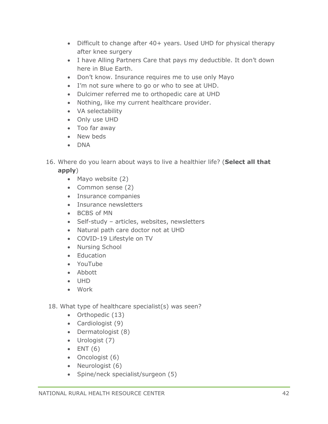- Difficult to change after 40+ years. Used UHD for physical therapy after knee surgery
- I have Alling Partners Care that pays my deductible. It don't down here in Blue Earth.
- Don't know. Insurance requires me to use only Mayo
- I'm not sure where to go or who to see at UHD.
- Dulcimer referred me to orthopedic care at UHD
- Nothing, like my current healthcare provider.
- VA selectability
- Only use UHD
- Too far away
- New beds
- DNA
- 16. Where do you learn about ways to live a healthier life? (**Select all that apply**)
	- Mayo website (2)
	- Common sense (2)
	- Insurance companies
	- Insurance newsletters
	- BCBS of MN
	- Self-study articles, websites, newsletters
	- Natural path care doctor not at UHD
	- COVID-19 Lifestyle on TV
	- Nursing School
	- Education
	- YouTube
	- Abbott
	- UHD
	- Work
- 18. What type of healthcare specialist(s) was seen?
	- Orthopedic (13)
	- Cardiologist (9)
	- Dermatologist (8)
	- Urologist (7)
	- $\bullet$  ENT (6)
	- Oncologist (6)
	- Neurologist (6)
	- Spine/neck specialist/surgeon (5)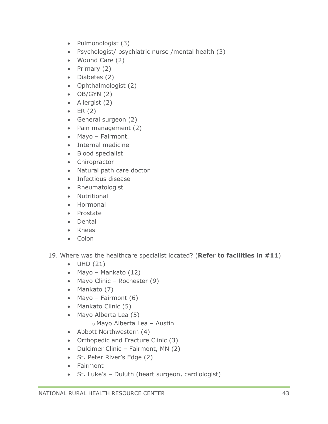- Pulmonologist (3)
- Psychologist/ psychiatric nurse /mental health (3)
- Wound Care (2)
- Primary (2)
- Diabetes (2)
- Ophthalmologist (2)
- $\bullet$  OB/GYN (2)
- Allergist (2)
- $\bullet$  ER (2)
- General surgeon (2)
- Pain management (2)
- Mayo Fairmont.
- Internal medicine
- Blood specialist
- Chiropractor
- Natural path care doctor
- Infectious disease
- Rheumatologist
- Nutritional
- Hormonal
- Prostate
- Dental
- Knees
- Colon
- 19. Where was the healthcare specialist located? (**Refer to facilities in #11**)
	- UHD (21)
	- Mayo Mankato (12)
	- Mayo Clinic Rochester (9)
	- Mankato (7)
	- Mayo Fairmont  $(6)$
	- Mankato Clinic (5)
	- Mayo Alberta Lea (5)
		- o Mayo Alberta Lea Austin
	- Abbott Northwestern (4)
	- Orthopedic and Fracture Clinic (3)
	- Dulcimer Clinic Fairmont, MN (2)
	- St. Peter River's Edge (2)
	- Fairmont
	- St. Luke's Duluth (heart surgeon, cardiologist)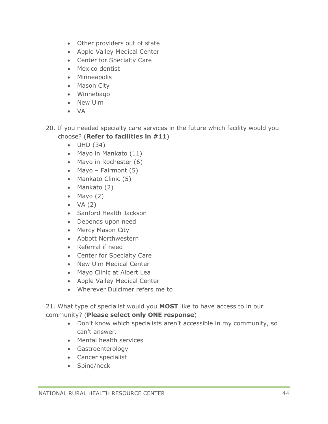- Other providers out of state
- Apple Valley Medical Center
- Center for Specialty Care
- Mexico dentist
- Minneapolis
- Mason City
- Winnebago
- New Ulm
- VA
- 20. If you needed specialty care services in the future which facility would you choose? (**Refer to facilities in #11**)
	- UHD (34)
	- Mayo in Mankato (11)
	- Mayo in Rochester (6)
	- Mayo Fairmont (5)
	- Mankato Clinic (5)
	- Mankato (2)
	- Mayo (2)
	- $\bullet$  VA  $(2)$
	- Sanford Health Jackson
	- Depends upon need
	- Mercy Mason City
	- Abbott Northwestern
	- Referral if need
	- Center for Specialty Care
	- New Ulm Medical Center
	- Mayo Clinic at Albert Lea
	- Apple Valley Medical Center
	- Wherever Dulcimer refers me to

21. What type of specialist would you **MOST** like to have access to in our community? (**Please select only ONE response**)

- Don't know which specialists aren't accessible in my community, so can't answer.
- Mental health services
- Gastroenterology
- Cancer specialist
- Spine/neck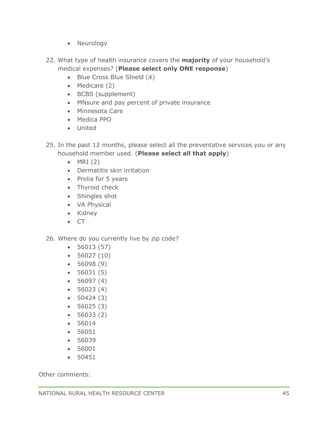- Neurology
- 22. What type of health insurance covers the **majority** of your household's medical expenses? (**Please select only ONE response**)
	- Blue Cross Blue Shield (4)
	- Medicare (2)
	- BCBS (supplement)
	- MNsure and pay percent of private insurance
	- Minnesota Care
	- Medica PPO
	- United
- 25. In the past 12 months, please select all the preventative services you or any household member used. (**Please select all that apply**)
	- $\bullet$  MRI (2)
	- Dermatitis skin irritation
	- Prolia for 5 years
	- Thyroid check
	- Shingles shot
	- VA Physical
	- Kidney
	- CT
- 26. Where do you currently live by zip code?
	- 56013 (57)
	- 56027 (10)
	- 56098 (9)
	- 56031 (5)
	- 56097 (4)
	- $56023(4)$
	- 50424 (3)
	- 56025 (3)
	- 56033 (2)
	- 56014
	- 56051
	- 56039
	- 56001
	- 50451

Other comments: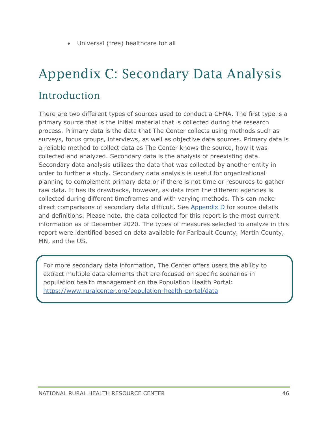• Universal (free) healthcare for all

# <span id="page-46-0"></span>Appendix C: Secondary Data Analysis Introduction

There are two different types of sources used to conduct a CHNA. The first type is a primary source that is the initial material that is collected during the research process. Primary data is the data that The Center collects using methods such as surveys, focus groups, interviews, as well as objective data sources. Primary data is a reliable method to collect data as The Center knows the source, how it was collected and analyzed. Secondary data is the analysis of preexisting data. Secondary data analysis utilizes the data that was collected by another entity in order to further a study. Secondary data analysis is useful for organizational planning to complement primary data or if there is not time or resources to gather raw data. It has its drawbacks, however, as data from the different agencies is collected during different timeframes and with varying methods. This can make direct comparisons of secondary data difficult. See [Appendix D](#page-57-0) for source details and definitions. Please note, the data collected for this report is the most current information as of December 2020. The types of measures selected to analyze in this report were identified based on data available for Faribault County, Martin County, MN, and the US.

For more secondary data information, The Center offers users the ability to extract multiple data elements that are focused on specific scenarios in population health management on the Population Health Portal: <https://www.ruralcenter.org/population-health-portal/data>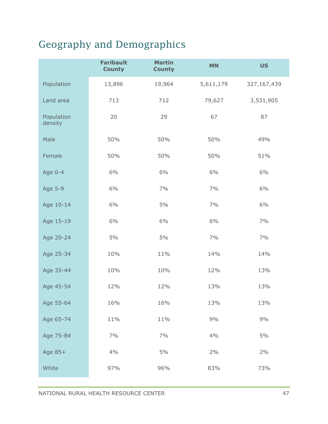### Geography and Demographics

|                       | <b>Faribault</b><br><b>County</b> | <b>Martin</b><br><b>County</b> | <b>MN</b> | <b>US</b>   |
|-----------------------|-----------------------------------|--------------------------------|-----------|-------------|
| Population            | 13,896                            | 19,964                         | 5,611,179 | 327,167,439 |
| Land area             | 713                               | 712                            | 79,627    | 3,531,905   |
| Population<br>density | 20                                | 29                             | 67        | 87          |
| Male                  | 50%                               | 50%                            | 50%       | 49%         |
| Female                | 50%                               | 50%                            | 50%       | 51%         |
| Age 0-4               | 6%                                | 6%                             | 6%        | 6%          |
| Age 5-9               | 6%                                | 7%                             | 7%        | 6%          |
| Age 10-14             | 6%                                | $5\%$                          | 7%        | 6%          |
| Age 15-19             | 6%                                | 6%                             | 6%        | 7%          |
| Age 20-24             | 5%                                | 5%                             | 7%        | 7%          |
| Age 25-34             | 10%                               | 11%                            | 14%       | 14%         |
| Age 35-44             | 10%                               | 10%                            | 12%       | 13%         |
| Age 45-54             | 12%                               | 12%                            | 13%       | 13%         |
| Age 55-64             | 16%                               | 16%                            | 13%       | 13%         |
| Age 65-74             | 11%                               | 11%                            | 9%        | 9%          |
| Age 75-84             | 7%                                | 7%                             | 4%        | $5\%$       |
| Age 85+               | 4%                                | $5\%$                          | 2%        | $2\%$       |
| White                 | 97%                               | 96%                            | 83%       | 73%         |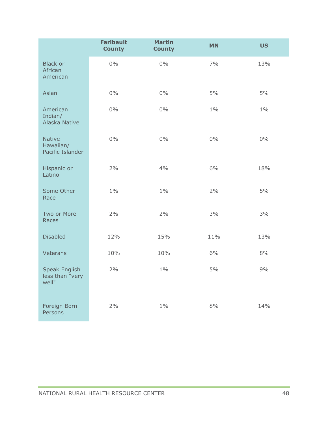|                                                  | <b>Faribault</b><br><b>County</b> | <b>Martin</b><br><b>County</b> | <b>MN</b> | <b>US</b> |
|--------------------------------------------------|-----------------------------------|--------------------------------|-----------|-----------|
| <b>Black or</b><br>African<br>American           | $0\%$                             | $0\%$                          | 7%        | 13%       |
| Asian                                            | $0\%$                             | $0\%$                          | 5%        | 5%        |
| American<br>Indian/<br>Alaska Native             | $0\%$                             | $0\%$                          | $1\%$     | $1\%$     |
| <b>Native</b><br>Hawaiian/<br>Pacific Islander   | $0\%$                             | $0\%$                          | $0\%$     | $0\%$     |
| Hispanic or<br>Latino                            | $2\%$                             | 4%                             | 6%        | 18%       |
| Some Other<br>Race                               | $1\%$                             | $1\%$                          | $2\%$     | 5%        |
| Two or More<br>Races                             | $2\%$                             | $2\%$                          | 3%        | 3%        |
| <b>Disabled</b>                                  | 12%                               | 15%                            | 11%       | 13%       |
| Veterans                                         | 10%                               | 10%                            | 6%        | 8%        |
| <b>Speak English</b><br>less than "very<br>well" | $2\%$                             | $1\%$                          | $5\%$     | 9%        |
| Foreign Born<br>Persons                          | $2\%$                             | $1\%$                          | $8\%$     | 14%       |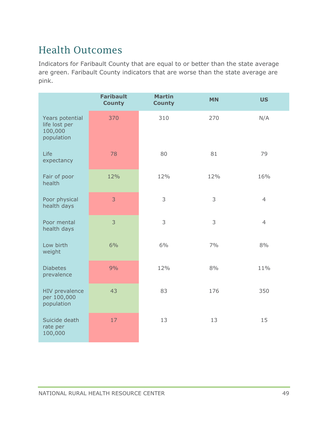### Health Outcomes

|                                                           | <b>Faribault</b><br><b>County</b> | <b>Martin</b><br><b>County</b> | <b>MN</b> | <b>US</b>      |
|-----------------------------------------------------------|-----------------------------------|--------------------------------|-----------|----------------|
| Years potential<br>life lost per<br>100,000<br>population | 370                               | 310                            | 270       | N/A            |
| Life<br>expectancy                                        | 78                                | 80                             | 81        | 79             |
| Fair of poor<br>health                                    | 12%                               | 12%                            | 12%       | 16%            |
| Poor physical<br>health days                              | 3                                 | 3                              | 3         | $\overline{4}$ |
| Poor mental<br>health days                                | 3                                 | 3                              | 3         | $\overline{4}$ |
| Low birth<br>weight                                       | 6%                                | 6%                             | 7%        | 8%             |
| <b>Diabetes</b><br>prevalence                             | 9%                                | 12%                            | 8%        | 11%            |
| HIV prevalence<br>per 100,000<br>population               | 43                                | 83                             | 176       | 350            |
| Suicide death<br>rate per<br>100,000                      | 17                                | 13                             | 13        | 15             |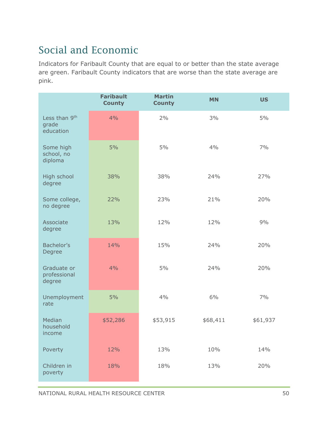### Social and Economic

|                                             | <b>Faribault</b><br><b>County</b> | <b>Martin</b><br><b>County</b> | <b>MN</b> | <b>US</b> |
|---------------------------------------------|-----------------------------------|--------------------------------|-----------|-----------|
| Less than 9th<br>grade<br>education         | 4%                                | 2%                             | 3%        | 5%        |
| Some high<br>school, no<br>diploma          | 5%                                | 5%                             | 4%        | 7%        |
| High school<br>degree                       | 38%                               | 38%                            | 24%       | 27%       |
| Some college,<br>no degree                  | 22%                               | 23%                            | 21%       | 20%       |
| Associate<br>degree                         | 13%                               | 12%                            | 12%       | 9%        |
| Bachelor's<br>Degree                        | 14%                               | 15%                            | 24%       | 20%       |
| Graduate or<br>professional<br>degree       | 4%                                | $5\%$                          | 24%       | 20%       |
| Unemployment<br>rate                        | 5%                                | 4%                             | 6%        | 7%        |
| Median<br>household<br><i><b>Income</b></i> | \$52,286                          | \$53,915                       | \$68,411  | \$61,937  |
| Poverty                                     | 12%                               | 13%                            | 10%       | 14%       |
| Children in<br>poverty                      | 18%                               | 18%                            | 13%       | 20%       |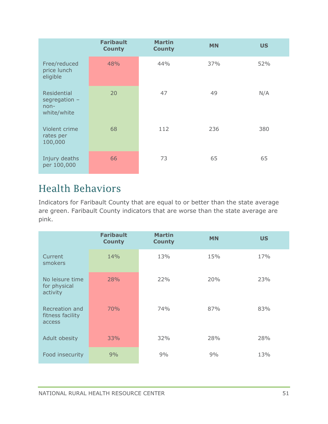|                                                         | <b>Faribault</b><br><b>County</b> | <b>Martin</b><br><b>County</b> | <b>MN</b> | <b>US</b> |
|---------------------------------------------------------|-----------------------------------|--------------------------------|-----------|-----------|
| Free/reduced<br>price lunch<br>eligible                 | 48%                               | 44%                            | 37%       | 52%       |
| Residential<br>segregation $-$<br>$non-$<br>white/white | 20                                | 47                             | 49        | N/A       |
| Violent crime<br>rates per<br>100,000                   | 68                                | 112                            | 236       | 380       |
| Injury deaths<br>per 100,000                            | 66                                | 73                             | 65        | 65        |

### Health Behaviors

|                                              | <b>Faribault</b><br><b>County</b> | <b>Martin</b><br><b>County</b> | <b>MN</b> | <b>US</b> |
|----------------------------------------------|-----------------------------------|--------------------------------|-----------|-----------|
| Current<br>smokers                           | 14%                               | 13%                            | 15%       | 17%       |
| No leisure time<br>for physical<br>activity  | 28%                               | 22%                            | 20%       | 23%       |
| Recreation and<br>fitness facility<br>access | 70%                               | 74%                            | 87%       | 83%       |
| Adult obesity                                | 33%                               | 32%                            | 28%       | 28%       |
| Food insecurity                              | 9%                                | 9%                             | 9%        | 13%       |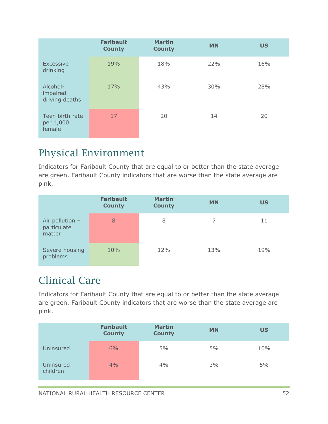|                                        | <b>Faribault</b><br><b>County</b> | <b>Martin</b><br><b>County</b> | <b>MN</b> | <b>US</b> |
|----------------------------------------|-----------------------------------|--------------------------------|-----------|-----------|
| <b>Excessive</b><br>drinking           | 19%                               | 18%                            | 22%       | 16%       |
| Alcohol-<br>impaired<br>driving deaths | 17%                               | 43%                            | 30%       | 28%       |
| Teen birth rate<br>per 1,000<br>female | 17                                | 20                             | 14        | 20        |

### Physical Environment

Indicators for Faribault County that are equal to or better than the state average are green. Faribault County indicators that are worse than the state average are pink.

|                                            | <b>Faribault</b><br><b>County</b> | <b>Martin</b><br><b>County</b> | <b>MN</b> | <b>US</b> |
|--------------------------------------------|-----------------------------------|--------------------------------|-----------|-----------|
| Air pollution $-$<br>particulate<br>matter | 8                                 | 8                              |           | 11        |
| Severe housing<br>problems                 | 10%                               | 12%                            | 13%       | 19%       |

### Clinical Care

|                       | <b>Faribault</b><br><b>County</b> | <b>Martin</b><br><b>County</b> | <b>MN</b> | <b>US</b> |
|-----------------------|-----------------------------------|--------------------------------|-----------|-----------|
| Uninsured             | 6%                                | 5%                             | 5%        | 10%       |
| Uninsured<br>children | 4%                                | 4%                             | 3%        | 5%        |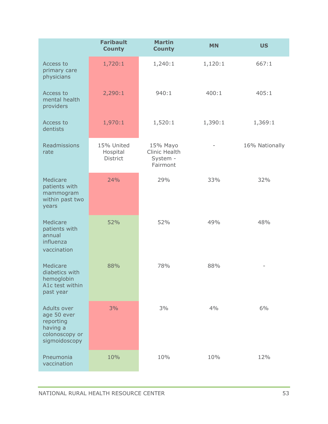|                                                                                        | <b>Faribault</b><br><b>County</b>         | <b>Martin</b><br><b>County</b>                    | <b>MN</b> | <b>US</b>      |
|----------------------------------------------------------------------------------------|-------------------------------------------|---------------------------------------------------|-----------|----------------|
| Access to<br>primary care<br>physicians                                                | 1,720:1                                   | 1,240:1                                           | 1,120:1   | 667:1          |
| Access to<br>mental health<br>providers                                                | 2,290:1                                   | 940:1                                             | 400:1     | 405:1          |
| Access to<br>dentists                                                                  | 1,970:1                                   | 1,520:1                                           | 1,390:1   | 1,369:1        |
| Readmissions<br>rate                                                                   | 15% United<br>Hospital<br><b>District</b> | 15% Mayo<br>Clinic Health<br>System -<br>Fairmont |           | 16% Nationally |
| Medicare<br>patients with<br>mammogram<br>within past two<br>years                     | 24%                                       | 29%                                               | 33%       | 32%            |
| Medicare<br>patients with<br>annual<br>influenza<br>vaccination                        | 52%                                       | 52%                                               | 49%       | 48%            |
| Medicare<br>diabetics with<br>hemoglobin<br>A1c test within<br>past year               | 88%                                       | 78%                                               | 88%       |                |
| Adults over<br>age 50 ever<br>reporting<br>having a<br>colonoscopy or<br>sigmoidoscopy | 3%                                        | 3%                                                | 4%        | 6%             |
| Pneumonia<br>vaccination                                                               | 10%                                       | 10%                                               | 10%       | 12%            |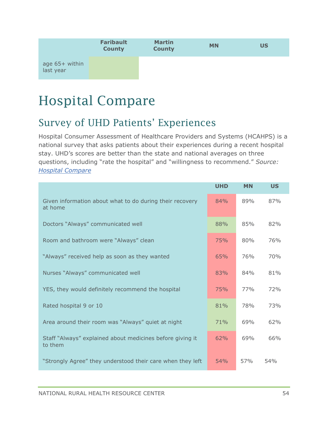

# <span id="page-54-0"></span>Hospital Compare

### Survey of UHD Patients' Experiences

Hospital Consumer Assessment of Healthcare Providers and Systems (HCAHPS) is a national survey that asks patients about their experiences during a recent hospital stay. UHD's scores are better than the state and national averages on three questions, including "rate the hospital" and "willingness to recommend." *Source: [Hospital Compare](https://www.medicare.gov/hospitalcompare/compare.html#cmprTab=0&cmprID=241341%2C241314%2C241372&cmprDist=0.0%2C0.0%2C0.0&stsltd=MN&dist=25&state=MN&lat=0&lng=0)*

|                                                                      | <b>UHD</b> | <b>MN</b> | <b>US</b> |
|----------------------------------------------------------------------|------------|-----------|-----------|
| Given information about what to do during their recovery<br>at home  | 84%        | 89%       | 87%       |
| Doctors "Always" communicated well                                   | 88%        | 85%       | 82%       |
| Room and bathroom were "Always" clean                                | 75%        | 80%       | 76%       |
| "Always" received help as soon as they wanted                        | 65%        | 76%       | 70%       |
| Nurses "Always" communicated well                                    | 83%        | 84%       | 81%       |
| YES, they would definitely recommend the hospital                    | 75%        | 77%       | 72%       |
| Rated hospital 9 or 10                                               | 81%        | 78%       | 73%       |
| Area around their room was "Always" quiet at night                   | 71%        | 69%       | 62%       |
| Staff "Always" explained about medicines before giving it<br>to them | 62%        | 69%       | 66%       |
| "Strongly Agree" they understood their care when they left           | 54%        | 57%       | 54%       |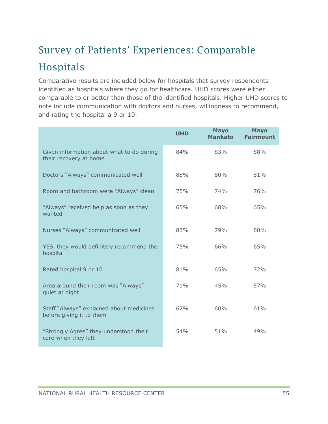# Survey of Patients' Experiences: Comparable Hospitals

Comparative results are included below for hospitals that survey respondents identified as hospitals where they go for healthcare. UHD scores were either comparable to or better than those of the identified hospitals. Higher UHD scores to note include communication with doctors and nurses, willingness to recommend, and rating the hospital a 9 or 10.

|                                                                      | <b>UHD</b> | <b>Mayo</b><br><b>Mankato</b> | <b>Mayo</b><br><b>Fairmount</b> |
|----------------------------------------------------------------------|------------|-------------------------------|---------------------------------|
| Given information about what to do during<br>their recovery at home  | 84%        | 83%                           | 88%                             |
| Doctors "Always" communicated well                                   | 88%        | 80%                           | 81%                             |
| Room and bathroom were "Always" clean                                | 75%        | 74%                           | 76%                             |
| "Always" received help as soon as they<br>wanted                     | 65%        | 68%                           | 65%                             |
| Nurses "Always" communicated well                                    | 83%        | 79%                           | 80%                             |
| YES, they would definitely recommend the<br>hospital                 | 75%        | 66%                           | 65%                             |
| Rated hospital 9 or 10                                               | 81%        | 65%                           | 72%                             |
| Area around their room was "Always"<br>quiet at night                | 71%        | 45%                           | 57%                             |
| Staff "Always" explained about medicines<br>before giving it to them | 62%        | 60%                           | 61%                             |
| "Strongly Agree" they understood their<br>care when they left        | 54%        | 51%                           | 49%                             |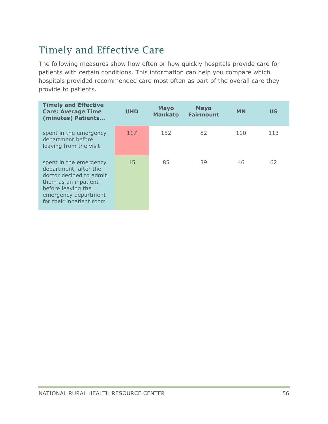### Timely and Effective Care

The following measures show how often or how quickly hospitals provide care for patients with certain conditions. This information can help you compare which hospitals provided recommended care most often as part of the overall care they provide to patients.

| <b>Timely and Effective</b><br><b>Care: Average Time</b><br>(minutes) Patients                                                                                               | <b>UHD</b> | <b>Mayo</b><br><b>Mankato</b> | <b>Mayo</b><br><b>Fairmount</b> | <b>MN</b> | <b>US</b> |
|------------------------------------------------------------------------------------------------------------------------------------------------------------------------------|------------|-------------------------------|---------------------------------|-----------|-----------|
| spent in the emergency<br>department before<br>leaving from the visit                                                                                                        | 117        | 152                           | 82                              | 110       | 113       |
| spent in the emergency<br>department, after the<br>doctor decided to admit<br>them as an inpatient<br>before leaving the<br>emergency department<br>for their inpatient room | 15         | 85                            | 39                              | 46        | 62        |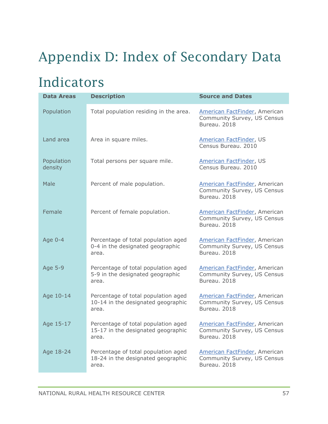# <span id="page-57-0"></span>Appendix D: Index of Secondary Data

## Indicators

| <b>Data Areas</b>     | <b>Description</b>                                                                 | <b>Source and Dates</b>                                                             |
|-----------------------|------------------------------------------------------------------------------------|-------------------------------------------------------------------------------------|
| Population            | Total population residing in the area.                                             | American FactFinder, American<br>Community Survey, US Census<br>Bureau. 2018        |
| Land area             | Area in square miles.                                                              | American FactFinder, US<br>Census Bureau. 2010                                      |
| Population<br>density | Total persons per square mile.                                                     | American FactFinder, US<br>Census Bureau. 2010                                      |
| Male                  | Percent of male population.                                                        | <b>American FactFinder, American</b><br>Community Survey, US Census<br>Bureau. 2018 |
| Female                | Percent of female population.                                                      | American FactFinder, American<br>Community Survey, US Census<br>Bureau, 2018        |
| Age 0-4               | Percentage of total population aged<br>0-4 in the designated geographic<br>area.   | <b>American FactFinder, American</b><br>Community Survey, US Census<br>Bureau. 2018 |
| Age 5-9               | Percentage of total population aged<br>5-9 in the designated geographic<br>area.   | American FactFinder, American<br>Community Survey, US Census<br>Bureau, 2018        |
| Age 10-14             | Percentage of total population aged<br>10-14 in the designated geographic<br>area. | <b>American FactFinder, American</b><br>Community Survey, US Census<br>Bureau. 2018 |
| Age 15-17             | Percentage of total population aged<br>15-17 in the designated geographic<br>area. | American FactFinder, American<br>Community Survey, US Census<br>Bureau. 2018        |
| Age 18-24             | Percentage of total population aged<br>18-24 in the designated geographic<br>area. | American FactFinder, American<br>Community Survey, US Census<br>Bureau. 2018        |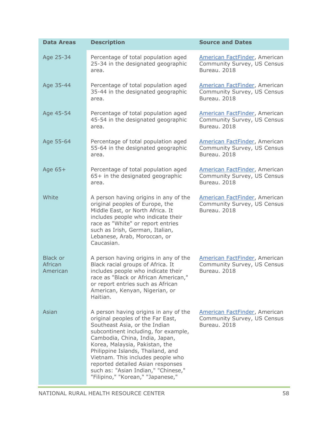| <b>Data Areas</b>                      | <b>Description</b>                                                                                                                                                                                                                                                                                                                                                                                                 | <b>Source and Dates</b>                                                                    |
|----------------------------------------|--------------------------------------------------------------------------------------------------------------------------------------------------------------------------------------------------------------------------------------------------------------------------------------------------------------------------------------------------------------------------------------------------------------------|--------------------------------------------------------------------------------------------|
| Age 25-34                              | Percentage of total population aged<br>25-34 in the designated geographic<br>area.                                                                                                                                                                                                                                                                                                                                 | <b>American FactFinder, American</b><br>Community Survey, US Census<br>Bureau. 2018        |
| Age 35-44                              | Percentage of total population aged<br>35-44 in the designated geographic<br>area.                                                                                                                                                                                                                                                                                                                                 | <b>American FactFinder, American</b><br>Community Survey, US Census<br>Bureau. 2018        |
| Age 45-54                              | Percentage of total population aged<br>45-54 in the designated geographic<br>area.                                                                                                                                                                                                                                                                                                                                 | <b>American FactFinder, American</b><br>Community Survey, US Census<br>Bureau. 2018        |
| Age 55-64                              | Percentage of total population aged<br>55-64 in the designated geographic<br>area.                                                                                                                                                                                                                                                                                                                                 | <b>American FactFinder, American</b><br>Community Survey, US Census<br><b>Bureau, 2018</b> |
| Age 65+                                | Percentage of total population aged<br>65+ in the designated geographic<br>area.                                                                                                                                                                                                                                                                                                                                   | <b>American FactFinder, American</b><br>Community Survey, US Census<br>Bureau. 2018        |
| White                                  | A person having origins in any of the<br>original peoples of Europe, the<br>Middle East, or North Africa. It<br>includes people who indicate their<br>race as "White" or report entries<br>such as Irish, German, Italian,<br>Lebanese, Arab, Moroccan, or<br>Caucasian.                                                                                                                                           | <b>American FactFinder, American</b><br>Community Survey, US Census<br>Bureau. 2018        |
| <b>Black or</b><br>African<br>American | A person having origins in any of the<br>Black racial groups of Africa. It<br>includes people who indicate their<br>race as "Black or African American,"<br>or report entries such as African<br>American, Kenyan, Nigerian, or<br>Haitian.                                                                                                                                                                        | <b>American FactFinder, American</b><br>Community Survey, US Census<br>Bureau. 2018        |
| Asian                                  | A person having origins in any of the<br>original peoples of the Far East,<br>Southeast Asia, or the Indian<br>subcontinent including, for example,<br>Cambodia, China, India, Japan,<br>Korea, Malaysia, Pakistan, the<br>Philippine Islands, Thailand, and<br>Vietnam. This includes people who<br>reported detailed Asian responses<br>such as: "Asian Indian," "Chinese,"<br>"Filipino," "Korean," "Japanese," | <b>American FactFinder, American</b><br>Community Survey, US Census<br>Bureau. 2018        |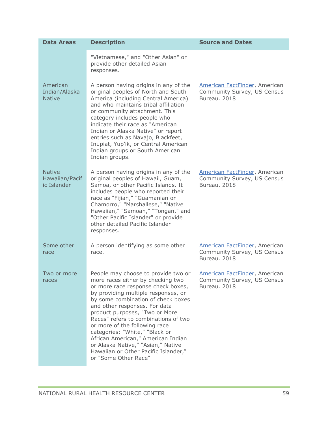| <b>Data Areas</b>                              | <b>Description</b>                                                                                                                                                                                                                                                                                                                                                                                                                                                                                                    | <b>Source and Dates</b>                                                             |
|------------------------------------------------|-----------------------------------------------------------------------------------------------------------------------------------------------------------------------------------------------------------------------------------------------------------------------------------------------------------------------------------------------------------------------------------------------------------------------------------------------------------------------------------------------------------------------|-------------------------------------------------------------------------------------|
|                                                | "Vietnamese," and "Other Asian" or<br>provide other detailed Asian<br>responses.                                                                                                                                                                                                                                                                                                                                                                                                                                      |                                                                                     |
| American<br>Indian/Alaska<br><b>Native</b>     | A person having origins in any of the<br>original peoples of North and South<br>America (including Central America)<br>and who maintains tribal affiliation<br>or community attachment. This<br>category includes people who<br>indicate their race as "American<br>Indian or Alaska Native" or report<br>entries such as Navajo, Blackfeet,<br>Inupiat, Yup'ik, or Central American<br>Indian groups or South American<br>Indian groups.                                                                             | American FactFinder, American<br>Community Survey, US Census<br><b>Bureau, 2018</b> |
| <b>Native</b><br>Hawaiian/Pacif<br>ic Islander | A person having origins in any of the<br>original peoples of Hawaii, Guam,<br>Samoa, or other Pacific Islands. It<br>includes people who reported their<br>race as "Fijian," "Guamanian or<br>Chamorro," "Marshallese," "Native<br>Hawaiian," "Samoan," "Tongan," and<br>"Other Pacific Islander" or provide<br>other detailed Pacific Islander<br>responses.                                                                                                                                                         | American FactFinder, American<br>Community Survey, US Census<br>Bureau, 2018        |
| Some other<br>race                             | A person identifying as some other<br>race.                                                                                                                                                                                                                                                                                                                                                                                                                                                                           | American FactFinder, American<br>Community Survey, US Census<br>Bureau. 2018        |
| Two or more<br>races                           | People may choose to provide two or<br>more races either by checking two<br>or more race response check boxes,<br>by providing multiple responses, or<br>by some combination of check boxes<br>and other responses. For data<br>product purposes, "Two or More<br>Races" refers to combinations of two<br>or more of the following race<br>categories: "White," "Black or<br>African American," American Indian<br>or Alaska Native," "Asian," Native<br>Hawaiian or Other Pacific Islander,"<br>or "Some Other Race" | American FactFinder, American<br>Community Survey, US Census<br>Bureau. 2018        |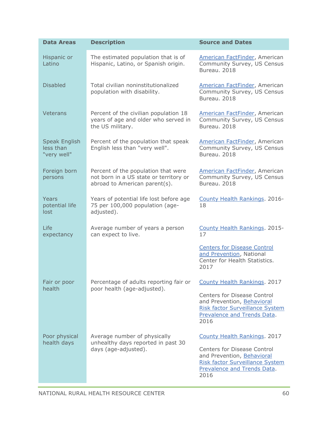| <b>Data Areas</b>                                     | <b>Description</b>                                                                                             | <b>Source and Dates</b>                                                                                                                           |
|-------------------------------------------------------|----------------------------------------------------------------------------------------------------------------|---------------------------------------------------------------------------------------------------------------------------------------------------|
| Hispanic or<br>Latino                                 | The estimated population that is of<br>Hispanic, Latino, or Spanish origin.                                    | <b>American FactFinder, American</b><br>Community Survey, US Census<br>Bureau, 2018                                                               |
| <b>Disabled</b>                                       | Total civilian noninstitutionalized<br>population with disability.                                             | <b>American FactFinder, American</b><br>Community Survey, US Census<br>Bureau. 2018                                                               |
| Veterans                                              | Percent of the civilian population 18<br>years of age and older who served in<br>the US military.              | American FactFinder, American<br>Community Survey, US Census<br>Bureau, 2018                                                                      |
| <b>Speak English</b><br>less than<br>"very well"      | Percent of the population that speak<br>English less than "very well".                                         | American FactFinder, American<br>Community Survey, US Census<br>Bureau, 2018                                                                      |
| Foreign born<br>persons                               | Percent of the population that were<br>not born in a US state or territory or<br>abroad to American parent(s). | American FactFinder, American<br>Community Survey, US Census<br>Bureau. 2018                                                                      |
| Years<br>potential life<br>lost                       | Years of potential life lost before age<br>75 per 100,000 population (age-<br>adjusted).                       | County Health Rankings. 2016-<br>18                                                                                                               |
| Life<br>expectancy                                    | Average number of years a person<br>can expect to live.                                                        | County Health Rankings. 2015-<br>17                                                                                                               |
|                                                       |                                                                                                                | <b>Centers for Disease Control</b><br>and Prevention, National<br>Center for Health Statistics.<br>2017                                           |
| Fair or poor<br>health<br>poor health (age-adjusted). | Percentage of adults reporting fair or                                                                         | County Health Rankings. 2017                                                                                                                      |
|                                                       |                                                                                                                | <b>Centers for Disease Control</b><br>and Prevention, Behavioral<br><b>Risk factor Surveillance System</b><br>Prevalence and Trends Data.<br>2016 |
| Poor physical<br>health days                          | Average number of physically<br>unhealthy days reported in past 30<br>days (age-adjusted).                     | County Health Rankings. 2017                                                                                                                      |
|                                                       |                                                                                                                | <b>Centers for Disease Control</b><br>and Prevention, Behavioral<br><b>Risk factor Surveillance System</b><br>Prevalence and Trends Data.<br>2016 |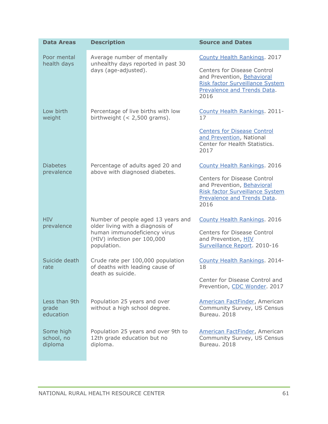| <b>Data Areas</b>                   | <b>Description</b>                                                                        | <b>Source and Dates</b>                                                                                                                           |
|-------------------------------------|-------------------------------------------------------------------------------------------|---------------------------------------------------------------------------------------------------------------------------------------------------|
| Poor mental<br>health days          | Average number of mentally<br>unhealthy days reported in past 30<br>days (age-adjusted).  | County Health Rankings. 2017                                                                                                                      |
|                                     |                                                                                           | <b>Centers for Disease Control</b><br>and Prevention, Behavioral<br>Risk factor Surveillance System<br>Prevalence and Trends Data.<br>2016        |
| Low birth<br>weight                 | Percentage of live births with low<br>birthweight $(< 2,500$ grams).                      | County Health Rankings. 2011-<br>17                                                                                                               |
|                                     |                                                                                           | <b>Centers for Disease Control</b><br>and Prevention, National<br>Center for Health Statistics.<br>2017                                           |
| <b>Diabetes</b><br>prevalence       | Percentage of adults aged 20 and<br>above with diagnosed diabetes.                        | County Health Rankings. 2016                                                                                                                      |
|                                     |                                                                                           | <b>Centers for Disease Control</b><br>and Prevention, Behavioral<br><b>Risk factor Surveillance System</b><br>Prevalence and Trends Data.<br>2016 |
| <b>HIV</b><br>prevalence            | Number of people aged 13 years and<br>older living with a diagnosis of                    | County Health Rankings. 2016                                                                                                                      |
|                                     | human immunodeficiency virus<br>(HIV) infection per 100,000<br>population.                | <b>Centers for Disease Control</b><br>and Prevention, HIV<br>Surveillance Report. 2010-16                                                         |
| Suicide death<br>rate               | Crude rate per 100,000 population<br>of deaths with leading cause of<br>death as suicide. | County Health Rankings. 2014-<br>18                                                                                                               |
|                                     |                                                                                           | Center for Disease Control and<br>Prevention, CDC Wonder. 2017                                                                                    |
| Less than 9th<br>grade<br>education | Population 25 years and over<br>without a high school degree.                             | <b>American FactFinder, American</b><br>Community Survey, US Census<br>Bureau. 2018                                                               |
| Some high<br>school, no<br>diploma  | Population 25 years and over 9th to<br>12th grade education but no<br>diploma.            | <b>American FactFinder, American</b><br>Community Survey, US Census<br>Bureau. 2018                                                               |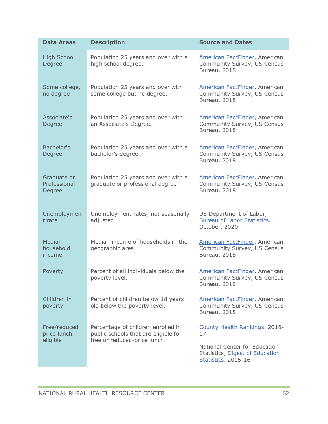| <b>Data Areas</b>                       | <b>Description</b>                                                                                         | <b>Source and Dates</b>                                                                        |
|-----------------------------------------|------------------------------------------------------------------------------------------------------------|------------------------------------------------------------------------------------------------|
| <b>High School</b><br>Degree            | Population 25 years and over with a<br>high school degree.                                                 | American FactFinder, American<br>Community Survey, US Census<br>Bureau, 2018                   |
| Some college,<br>no degree              | Population 25 years and over with<br>some college but no degree.                                           | American FactFinder, American<br>Community Survey, US Census<br>Bureau. 2018                   |
| Associate's<br>Degree                   | Population 25 years and over with<br>an Associate's Degree.                                                | <b>American FactFinder, American</b><br>Community Survey, US Census<br>Bureau. 2018            |
| Bachelor's<br>Degree                    | Population 25 years and over with a<br>bachelor's degree.                                                  | American FactFinder, American<br>Community Survey, US Census<br>Bureau, 2018                   |
| Graduate or<br>Professional<br>Degree   | Population 25 years and over with a<br>graduate or professional degree                                     | American FactFinder, American<br>Community Survey, US Census<br>Bureau, 2018                   |
| Unemploymen<br>t rate                   | Unemployment rates, not seasonally<br>adjusted.                                                            | US Department of Labor,<br><b>Bureau of Labor Statistics.</b><br>October, 2020                 |
| Median<br>household<br>income           | Median income of households in the<br>geographic area.                                                     | American FactFinder, American<br>Community Survey, US Census<br>Bureau, 2018                   |
| Poverty                                 | Percent of all individuals below the<br>poverty level.                                                     | American FactFinder, American<br>Community Survey, US Census<br>Bureau. 2018                   |
| Children in<br>poverty                  | Percent of children below 18 years<br>old below the poverty level.                                         | American FactFinder, American<br>Community Survey, US Census<br>Bureau, 2018                   |
| Free/reduced<br>price lunch<br>eligible | Percentage of children enrolled in<br>public schools that are eligible for<br>free or reduced-price lunch. | County Health Rankings. 2016-<br>17                                                            |
|                                         |                                                                                                            | National Center for Education<br>Statistics, Digest of Education<br><b>Statistics. 2015-16</b> |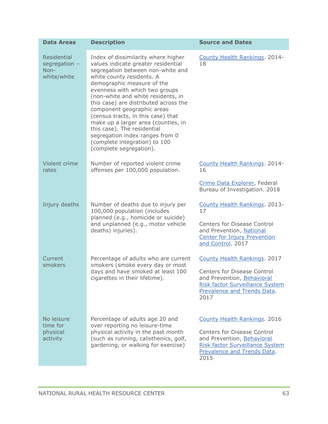| <b>Data Areas</b>                                            | <b>Description</b>                                                                                                                                                                                                                                                                                                                                                                                                                                                                                                                   | <b>Source and Dates</b>                                                                                                                                                                  |
|--------------------------------------------------------------|--------------------------------------------------------------------------------------------------------------------------------------------------------------------------------------------------------------------------------------------------------------------------------------------------------------------------------------------------------------------------------------------------------------------------------------------------------------------------------------------------------------------------------------|------------------------------------------------------------------------------------------------------------------------------------------------------------------------------------------|
| <b>Residential</b><br>segregation $-$<br>Non-<br>white/white | Index of dissimilarity where higher<br>values indicate greater residential<br>segregation between non-white and<br>white county residents. A<br>demographic measure of the<br>evenness with which two groups<br>(non-white and white residents, in<br>this case) are distributed across the<br>component geographic areas<br>(census tracts, in this case) that<br>make up a larger area (counties, in<br>this case). The residential<br>segregation index ranges from 0<br>(complete integration) to 100<br>(complete segregation). | County Health Rankings. 2014-<br>18                                                                                                                                                      |
| Violent crime<br>rates                                       | Number of reported violent crime<br>offenses per 100,000 population.                                                                                                                                                                                                                                                                                                                                                                                                                                                                 | County Health Rankings. 2014-<br>16                                                                                                                                                      |
|                                                              |                                                                                                                                                                                                                                                                                                                                                                                                                                                                                                                                      | Crime Data Explorer, Federal<br>Bureau of Investigation. 2018                                                                                                                            |
| Injury deaths                                                | Number of deaths due to injury per<br>100,000 population (includes<br>planned (e.g., homicide or suicide)<br>and unplanned (e.g., motor vehicle<br>deaths) injuries).                                                                                                                                                                                                                                                                                                                                                                | County Health Rankings. 2013-<br>17<br><b>Centers for Disease Control</b><br>and Prevention, National<br><b>Center for Injury Prevention</b><br>and Control. 2017                        |
| Current<br>smokers                                           | Percentage of adults who are current<br>smokers (smoke every day or most<br>days and have smoked at least 100<br>cigarettes in their lifetime).                                                                                                                                                                                                                                                                                                                                                                                      | County Health Rankings. 2017<br>Centers for Disease Control<br>and Prevention, Behavioral<br><b>Risk factor Surveillance System</b><br>Prevalence and Trends Data.<br>2017               |
| No leisure<br>time for<br>physical<br>activity               | Percentage of adults age 20 and<br>over reporting no leisure-time<br>physical activity in the past month<br>(such as running, calisthenics, golf,<br>gardening, or walking for exercise)                                                                                                                                                                                                                                                                                                                                             | <b>County Health Rankings. 2016</b><br><b>Centers for Disease Control</b><br>and Prevention, Behavioral<br><b>Risk factor Surveillance System</b><br>Prevalence and Trends Data.<br>2015 |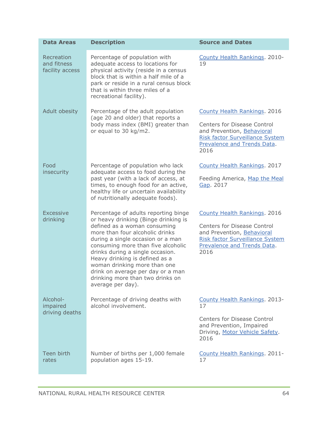| <b>Data Areas</b>                            | <b>Description</b>                                                                                                                                                                                                                                                                                                                                                                                                             | <b>Source and Dates</b>                                                                                                                                                           |
|----------------------------------------------|--------------------------------------------------------------------------------------------------------------------------------------------------------------------------------------------------------------------------------------------------------------------------------------------------------------------------------------------------------------------------------------------------------------------------------|-----------------------------------------------------------------------------------------------------------------------------------------------------------------------------------|
| Recreation<br>and fitness<br>facility access | Percentage of population with<br>adequate access to locations for<br>physical activity (reside in a census<br>block that is within a half mile of a<br>park or reside in a rural census block<br>that is within three miles of a<br>recreational facility).                                                                                                                                                                    | County Health Rankings. 2010-<br>19                                                                                                                                               |
| Adult obesity                                | Percentage of the adult population<br>(age 20 and older) that reports a<br>body mass index (BMI) greater than<br>or equal to 30 kg/m2.                                                                                                                                                                                                                                                                                         | County Health Rankings. 2016<br><b>Centers for Disease Control</b><br>and Prevention, Behavioral<br><b>Risk factor Surveillance System</b><br>Prevalence and Trends Data.<br>2016 |
| Food<br>insecurity                           | Percentage of population who lack<br>adequate access to food during the<br>past year (with a lack of access, at<br>times, to enough food for an active,<br>healthy life or uncertain availability<br>of nutritionally adequate foods).                                                                                                                                                                                         | County Health Rankings. 2017<br>Feeding America, Map the Meal<br>Gap. 2017                                                                                                        |
| <b>Excessive</b><br>drinking                 | Percentage of adults reporting binge<br>or heavy drinking (Binge drinking is<br>defined as a woman consuming<br>more than four alcoholic drinks<br>during a single occasion or a man<br>consuming more than five alcoholic<br>drinks during a single occasion.<br>Heavy drinking is defined as a<br>woman drinking more than one<br>drink on average per day or a man<br>drinking more than two drinks on<br>average per day). | County Health Rankings. 2016<br><b>Centers for Disease Control</b><br>and Prevention, Behavioral<br>Risk factor Surveillance System<br>Prevalence and Trends Data.<br>2016        |
| Alcohol-<br>impaired<br>driving deaths       | Percentage of driving deaths with<br>alcohol involvement.                                                                                                                                                                                                                                                                                                                                                                      | County Health Rankings. 2013-<br>17<br><b>Centers for Disease Control</b><br>and Prevention, Impaired<br>Driving, Motor Vehicle Safety.<br>2016                                   |
| Teen birth<br>rates                          | Number of births per 1,000 female<br>population ages 15-19.                                                                                                                                                                                                                                                                                                                                                                    | County Health Rankings. 2011-<br>17                                                                                                                                               |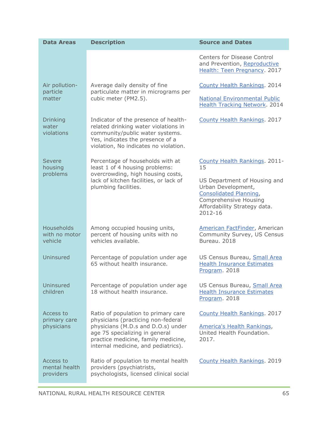| <b>Data Areas</b>                             | <b>Description</b>                                                                                                                                                                           | <b>Source and Dates</b>                                                                                                                          |
|-----------------------------------------------|----------------------------------------------------------------------------------------------------------------------------------------------------------------------------------------------|--------------------------------------------------------------------------------------------------------------------------------------------------|
|                                               |                                                                                                                                                                                              | <b>Centers for Disease Control</b><br>and Prevention, Reproductive<br>Health: Teen Pregnancy. 2017                                               |
| Air pollution-<br>particle                    | Average daily density of fine<br>particulate matter in micrograms per                                                                                                                        | County Health Rankings. 2014                                                                                                                     |
| matter                                        | cubic meter (PM2.5).                                                                                                                                                                         | <b>National Environmental Public</b><br><b>Health Tracking Network. 2014</b>                                                                     |
| <b>Drinking</b><br>water<br>violations        | Indicator of the presence of health-<br>related drinking water violations in<br>community/public water systems.<br>Yes, indicates the presence of a<br>violation, No indicates no violation. | County Health Rankings. 2017                                                                                                                     |
| Severe<br>housing                             | Percentage of households with at<br>least 1 of 4 housing problems:                                                                                                                           | County Health Rankings. 2011-<br>15                                                                                                              |
| problems                                      | overcrowding, high housing costs,<br>lack of kitchen facilities, or lack of<br>plumbing facilities.                                                                                          | US Department of Housing and<br>Urban Development,<br>Consolidated Planning,<br>Comprehensive Housing<br>Affordability Strategy data.<br>2012-16 |
| <b>Households</b><br>with no motor<br>vehicle | Among occupied housing units,<br>percent of housing units with no<br>vehicles available.                                                                                                     | American FactFinder, American<br>Community Survey, US Census<br>Bureau, 2018                                                                     |
| Uninsured                                     | Percentage of population under age<br>65 without health insurance.                                                                                                                           | US Census Bureau, Small Area<br><b>Health Insurance Estimates</b><br>Program. 2018                                                               |
| Uninsured<br>children                         | Percentage of population under age<br>18 without health insurance.                                                                                                                           | US Census Bureau, Small Area<br><b>Health Insurance Estimates</b><br>Program. 2018                                                               |
| Access to<br>primary care                     | Ratio of population to primary care<br>physicians (practicing non-federal                                                                                                                    | County Health Rankings. 2017                                                                                                                     |
| physicians                                    | physicians (M.D.s and D.O.s) under<br>age 75 specializing in general<br>practice medicine, family medicine,<br>internal medicine, and pediatrics).                                           | America's Health Rankings,<br>United Health Foundation.<br>2017.                                                                                 |
| Access to<br>mental health<br>providers       | Ratio of population to mental health<br>providers (psychiatrists,<br>psychologists, licensed clinical social                                                                                 | County Health Rankings. 2019                                                                                                                     |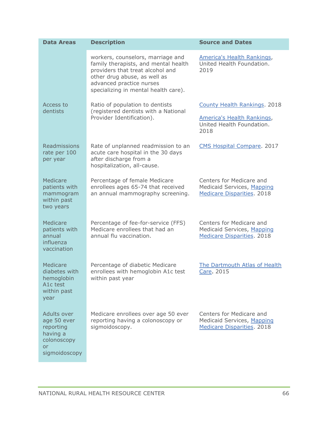| <b>Data Areas</b>                                                                         | <b>Description</b>                                                                                                                                                                                                | <b>Source and Dates</b>                                                                     |
|-------------------------------------------------------------------------------------------|-------------------------------------------------------------------------------------------------------------------------------------------------------------------------------------------------------------------|---------------------------------------------------------------------------------------------|
|                                                                                           | workers, counselors, marriage and<br>family therapists, and mental health<br>providers that treat alcohol and<br>other drug abuse, as well as<br>advanced practice nurses<br>specializing in mental health care). | America's Health Rankings,<br>United Health Foundation.<br>2019                             |
| Access to<br>dentists                                                                     | Ratio of population to dentists<br>(registered dentists with a National                                                                                                                                           | County Health Rankings. 2018                                                                |
|                                                                                           | Provider Identification).                                                                                                                                                                                         | America's Health Rankings,<br>United Health Foundation.<br>2018                             |
| Readmissions<br>rate per 100<br>per year                                                  | Rate of unplanned readmission to an<br>acute care hospital in the 30 days<br>after discharge from a<br>hospitalization, all-cause.                                                                                | CMS Hospital Compare. 2017                                                                  |
| Medicare<br>patients with<br>mammogram<br>within past<br>two years                        | Percentage of female Medicare<br>enrollees ages 65-74 that received<br>an annual mammography screening.                                                                                                           | Centers for Medicare and<br>Medicaid Services, Mapping<br><b>Medicare Disparities. 2018</b> |
| Medicare<br>patients with<br>annual<br>influenza<br>vaccination                           | Percentage of fee-for-service (FFS)<br>Medicare enrollees that had an<br>annual flu vaccination.                                                                                                                  | Centers for Medicare and<br>Medicaid Services, Mapping<br>Medicare Disparities. 2018        |
| Medicare<br>diabetes with<br>hemoglobin<br>A <sub>1</sub> c test<br>within past<br>year   | Percentage of diabetic Medicare<br>enrollees with hemoglobin A1c test<br>within past year                                                                                                                         | The Dartmouth Atlas of Health<br>Care 2015                                                  |
| Adults over<br>age 50 ever<br>reporting<br>having a<br>colonoscopy<br>or<br>sigmoidoscopy | Medicare enrollees over age 50 ever<br>reporting having a colonoscopy or<br>sigmoidoscopy.                                                                                                                        | Centers for Medicare and<br>Medicaid Services, Mapping<br>Medicare Disparities. 2018        |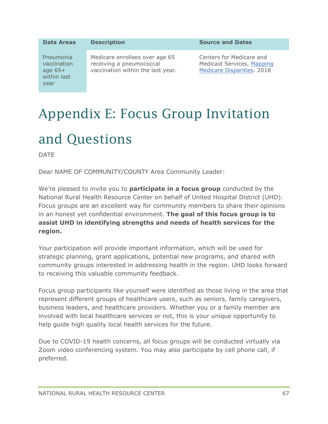| <b>Data Areas</b>                                            | <b>Description</b>                                                                              | <b>Source and Dates</b>                                                              |
|--------------------------------------------------------------|-------------------------------------------------------------------------------------------------|--------------------------------------------------------------------------------------|
| Pneumonia<br>vaccination<br>age $65+$<br>within last<br>year | Medicare enrollees over age 65<br>receiving a pneumococcal<br>vaccination within the last year. | Centers for Medicare and<br>Medicaid Services, Mapping<br>Medicare Disparities. 2018 |

# <span id="page-67-0"></span>Appendix E: Focus Group Invitation and Questions

DATE

Dear NAME OF COMMUNITY/COUNTY Area Community Leader:

We're pleased to invite you to **participate in a focus group** conducted by the National Rural Health Resource Center on behalf of United Hospital District (UHD). Focus groups are an excellent way for community members to share their opinions in an honest yet confidential environment. **The goal of this focus group is to assist UHD in identifying strengths and needs of health services for the region.** 

Your participation will provide important information, which will be used for strategic planning, grant applications, potential new programs, and shared with community groups interested in addressing health in the region. UHD looks forward to receiving this valuable community feedback.

Focus group participants like yourself were identified as those living in the area that represent different groups of healthcare users, such as seniors, family caregivers, business leaders, and healthcare providers. Whether you or a family member are involved with local healthcare services or not, this is your unique opportunity to help guide high quality local health services for the future.

Due to COVID-19 health concerns, all focus groups will be conducted virtually via Zoom video conferencing system. You may also participate by cell phone call, if preferred.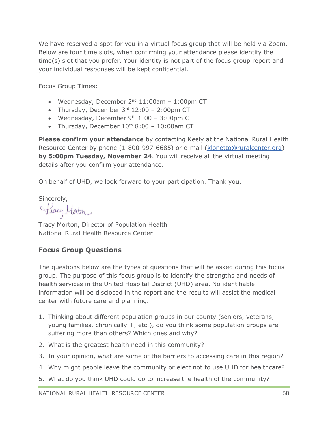We have reserved a spot for you in a virtual focus group that will be held via Zoom. Below are four time slots, when confirming your attendance please identify the time(s) slot that you prefer. Your identity is not part of the focus group report and your individual responses will be kept confidential.

Focus Group Times:

- Wednesday, December  $2^{nd}$  11:00am 1:00pm CT
- Thursday, December  $3<sup>rd</sup> 12:00 2:00<sup>pm</sup> CT$
- Wednesday, December  $9<sup>th</sup> 1:00 3:00$ pm CT
- Thursday, December  $10^{th}$  8:00 10:00am CT

**Please confirm your attendance** by contacting Keely at the National Rural Health Resource Center by phone (1-800-997-6685) or e-mail [\(klonetto@ruralcenter.org\)](mailto:klonetto@ruralcenter.org) **by 5:00pm Tuesday, November 24**. You will receive all the virtual meeting details after you confirm your attendance.

On behalf of UHD, we look forward to your participation. Thank you.

Sincerely,

Pracy Moton

Tracy Morton, Director of Population Health National Rural Health Resource Center

#### **Focus Group Questions**

The questions below are the types of questions that will be asked during this focus group. The purpose of this focus group is to identify the strengths and needs of health services in the United Hospital District (UHD) area. No identifiable information will be disclosed in the report and the results will assist the medical center with future care and planning.

- 1. Thinking about different population groups in our county (seniors, veterans, young families, chronically ill, etc.), do you think some population groups are suffering more than others? Which ones and why?
- 2. What is the greatest health need in this community?
- 3. In your opinion, what are some of the barriers to accessing care in this region?
- 4. Why might people leave the community or elect not to use UHD for healthcare?
- 5. What do you think UHD could do to increase the health of the community?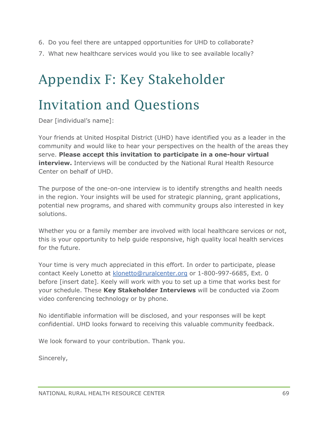- 6. Do you feel there are untapped opportunities for UHD to collaborate?
- 7. What new healthcare services would you like to see available locally?

# <span id="page-69-0"></span>Appendix F: Key Stakeholder

# Invitation and Questions

Dear [individual's name]:

Your friends at United Hospital District (UHD) have identified you as a leader in the community and would like to hear your perspectives on the health of the areas they serve. **Please accept this invitation to participate in a one-hour virtual interview.** Interviews will be conducted by the National Rural Health Resource Center on behalf of UHD.

The purpose of the one-on-one interview is to identify strengths and health needs in the region. Your insights will be used for strategic planning, grant applications, potential new programs, and shared with community groups also interested in key solutions.

Whether you or a family member are involved with local healthcare services or not, this is your opportunity to help guide responsive, high quality local health services for the future.

Your time is very much appreciated in this effort. In order to participate, please contact Keely Lonetto at [klonetto@ruralcenter.org](mailto:klonetto@ruralcenter.org) or 1-800-997-6685, Ext. 0 before [insert date]. Keely will work with you to set up a time that works best for your schedule. These **Key Stakeholder Interviews** will be conducted via Zoom video conferencing technology or by phone.

No identifiable information will be disclosed, and your responses will be kept confidential. UHD looks forward to receiving this valuable community feedback.

We look forward to your contribution. Thank you.

Sincerely,